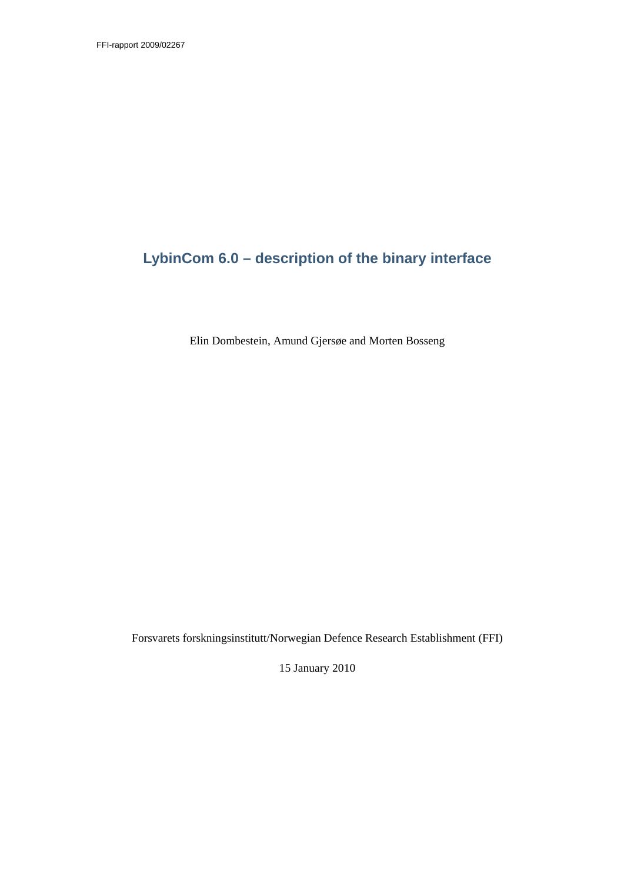# **LybinCom 6.0 – description of the binary interface**

Elin Dombestein, Amund Gjersøe and Morten Bosseng

Forsvarets forskningsinstitutt/Norwegian Defence Research Establishment (FFI)

15 January 2010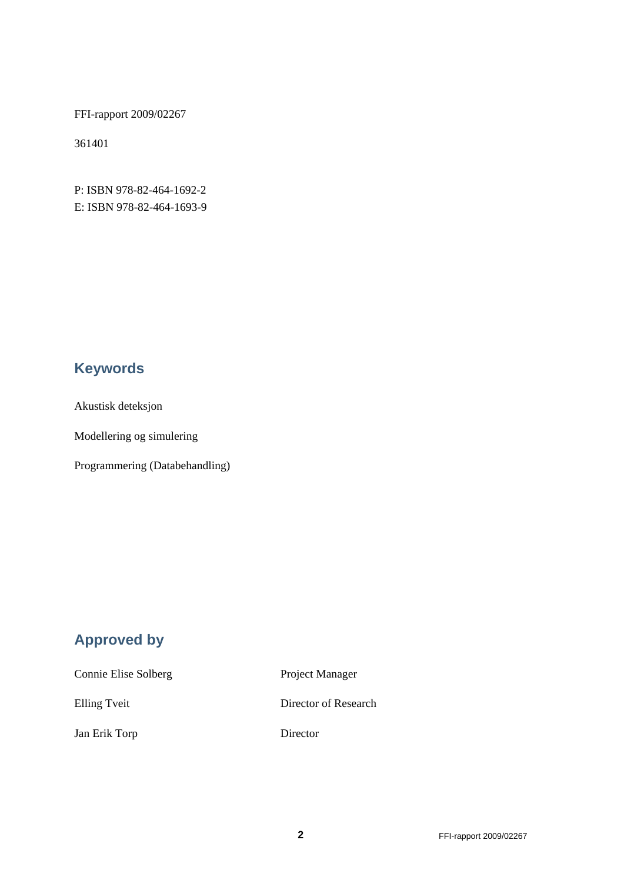FFI-rapport 2009/02267

361401

P: ISBN 978-82-464-1692-2 E: ISBN 978-82-464-1693-9

# **Keywords**

Akustisk deteksjon

Modellering og simulering

Programmering (Databehandling)

# **Approved by**

| Connie Elise Solberg | Project Manager      |
|----------------------|----------------------|
| Elling Tveit         | Director of Research |
| Jan Erik Torp        | Director             |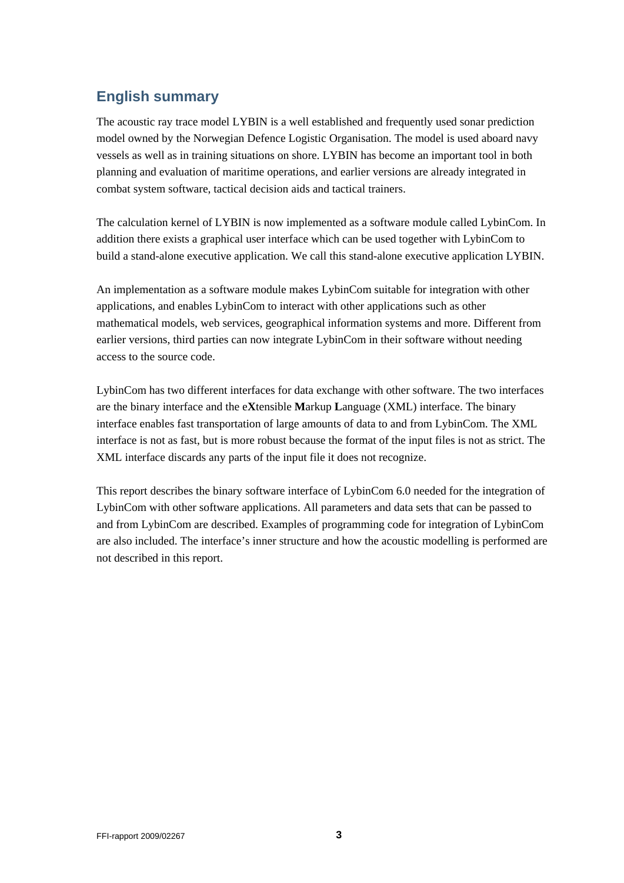# **English summary**

The acoustic ray trace model LYBIN is a well established and frequently used sonar prediction model owned by the Norwegian Defence Logistic Organisation. The model is used aboard navy vessels as well as in training situations on shore. LYBIN has become an important tool in both planning and evaluation of maritime operations, and earlier versions are already integrated in combat system software, tactical decision aids and tactical trainers.

The calculation kernel of LYBIN is now implemented as a software module called LybinCom. In addition there exists a graphical user interface which can be used together with LybinCom to build a stand-alone executive application. We call this stand-alone executive application LYBIN.

An implementation as a software module makes LybinCom suitable for integration with other applications, and enables LybinCom to interact with other applications such as other mathematical models, web services, geographical information systems and more. Different from earlier versions, third parties can now integrate LybinCom in their software without needing access to the source code.

LybinCom has two different interfaces for data exchange with other software. The two interfaces are the binary interface and the e**X**tensible **M**arkup **L**anguage (XML) interface. The binary interface enables fast transportation of large amounts of data to and from LybinCom. The XML interface is not as fast, but is more robust because the format of the input files is not as strict. The XML interface discards any parts of the input file it does not recognize.

This report describes the binary software interface of LybinCom 6.0 needed for the integration of LybinCom with other software applications. All parameters and data sets that can be passed to and from LybinCom are described. Examples of programming code for integration of LybinCom are also included. The interface's inner structure and how the acoustic modelling is performed are not described in this report.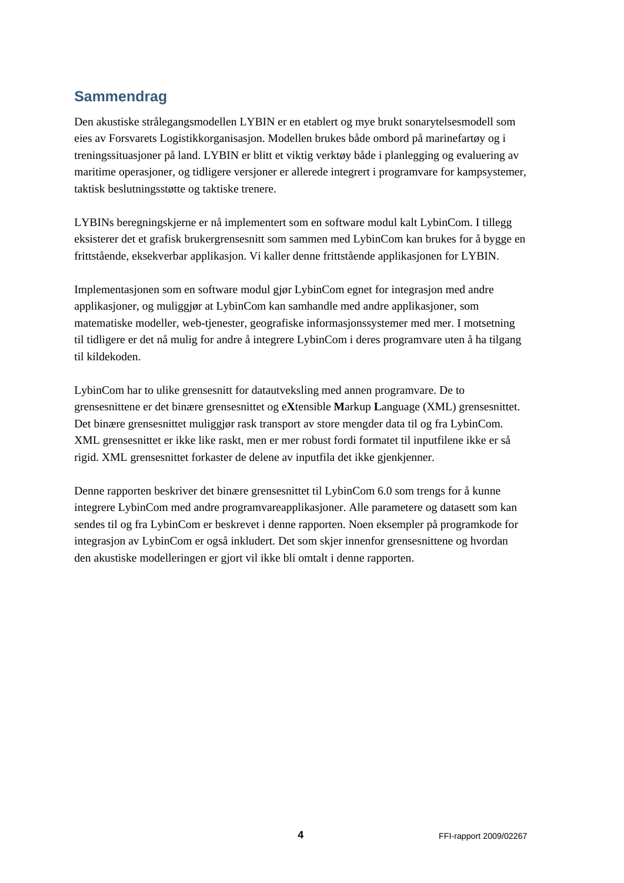# **Sammendrag**

Den akustiske strålegangsmodellen LYBIN er en etablert og mye brukt sonarytelsesmodell som eies av Forsvarets Logistikkorganisasjon. Modellen brukes både ombord på marinefartøy og i treningssituasjoner på land. LYBIN er blitt et viktig verktøy både i planlegging og evaluering av maritime operasjoner, og tidligere versjoner er allerede integrert i programvare for kampsystemer, taktisk beslutningsstøtte og taktiske trenere.

LYBINs beregningskjerne er nå implementert som en software modul kalt LybinCom. I tillegg eksisterer det et grafisk brukergrensesnitt som sammen med LybinCom kan brukes for å bygge en frittstående, eksekverbar applikasjon. Vi kaller denne frittstående applikasjonen for LYBIN.

Implementasjonen som en software modul gjør LybinCom egnet for integrasjon med andre applikasjoner, og muliggjør at LybinCom kan samhandle med andre applikasjoner, som matematiske modeller, web-tjenester, geografiske informasjonssystemer med mer. I motsetning til tidligere er det nå mulig for andre å integrere LybinCom i deres programvare uten å ha tilgang til kildekoden.

LybinCom har to ulike grensesnitt for datautveksling med annen programvare. De to grensesnittene er det binære grensesnittet og e**X**tensible **M**arkup **L**anguage (XML) grensesnittet. Det binære grensesnittet muliggjør rask transport av store mengder data til og fra LybinCom. XML grensesnittet er ikke like raskt, men er mer robust fordi formatet til inputfilene ikke er så rigid. XML grensesnittet forkaster de delene av inputfila det ikke gjenkjenner.

Denne rapporten beskriver det binære grensesnittet til LybinCom 6.0 som trengs for å kunne integrere LybinCom med andre programvareapplikasjoner. Alle parametere og datasett som kan sendes til og fra LybinCom er beskrevet i denne rapporten. Noen eksempler på programkode for integrasjon av LybinCom er også inkludert. Det som skjer innenfor grensesnittene og hvordan den akustiske modelleringen er gjort vil ikke bli omtalt i denne rapporten.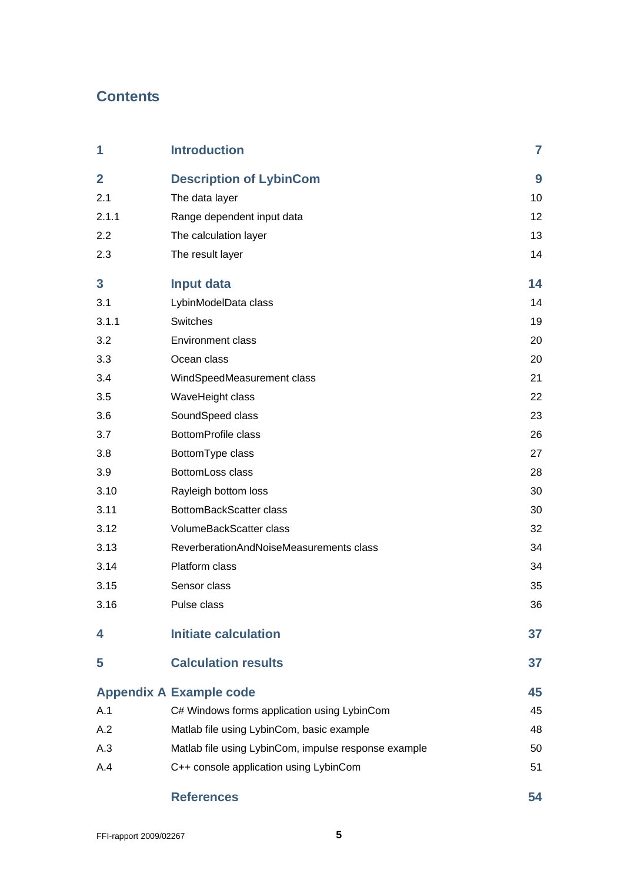# **Contents**

| 1              | <b>Introduction</b>                                  | $\overline{7}$ |
|----------------|------------------------------------------------------|----------------|
| $\overline{2}$ | <b>Description of LybinCom</b>                       | 9              |
| 2.1            | The data layer                                       | 10             |
| 2.1.1          | Range dependent input data                           | 12             |
| 2.2            | The calculation layer                                | 13             |
| 2.3            | The result layer                                     | 14             |
| 3              | <b>Input data</b>                                    | 14             |
| 3.1            | LybinModelData class                                 | 14             |
| 3.1.1          | Switches                                             | 19             |
| 3.2            | <b>Environment class</b>                             | 20             |
| 3.3            | Ocean class                                          | 20             |
| 3.4            | WindSpeedMeasurement class                           | 21             |
| 3.5            | WaveHeight class                                     | 22             |
| 3.6            | SoundSpeed class                                     | 23             |
| 3.7            | <b>BottomProfile class</b>                           | 26             |
| 3.8            | BottomType class                                     | 27             |
| 3.9            | BottomLoss class                                     | 28             |
| 3.10           | Rayleigh bottom loss                                 | 30             |
| 3.11           | BottomBackScatter class                              | 30             |
| 3.12           | VolumeBackScatter class                              | 32             |
| 3.13           | ReverberationAndNoiseMeasurements class              | 34             |
| 3.14           | Platform class                                       | 34             |
| 3.15           | Sensor class                                         | 35             |
| 3.16           | Pulse class                                          | 36             |
| 4              | <b>Initiate calculation</b>                          | 37             |
| 5              | <b>Calculation results</b>                           | 37             |
|                | <b>Appendix A Example code</b>                       | 45             |
| A.1            | C# Windows forms application using LybinCom          | 45             |
| A.2            | Matlab file using LybinCom, basic example            | 48             |
| A.3            | Matlab file using LybinCom, impulse response example | 50             |
| A.4            | C++ console application using LybinCom               | 51             |
|                | <b>References</b>                                    | 54             |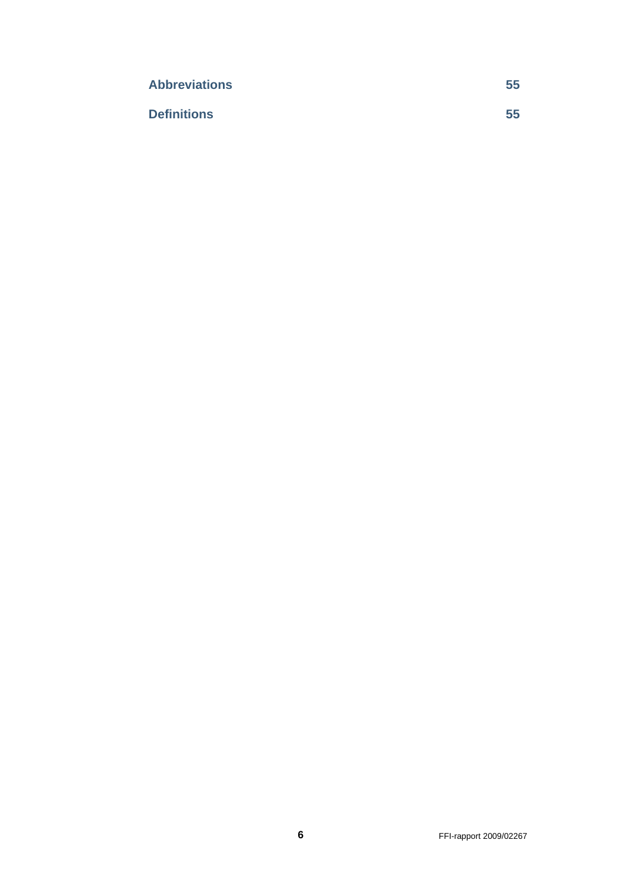| <b>Abbreviations</b> | 55 |
|----------------------|----|
| <b>Definitions</b>   | 55 |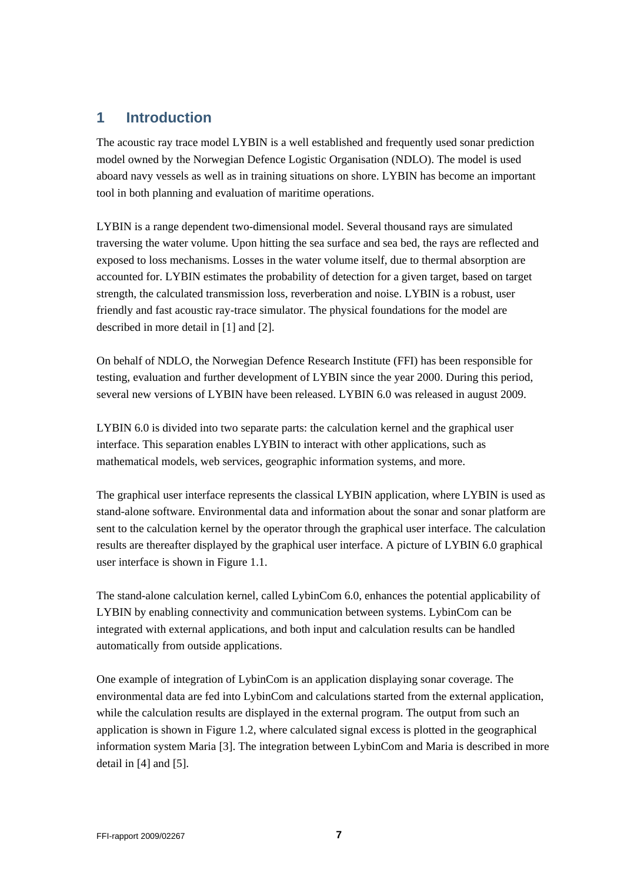## **1 Introduction**

The acoustic ray trace model LYBIN is a well established and frequently used sonar prediction model owned by the Norwegian Defence Logistic Organisation (NDLO). The model is used aboard navy vessels as well as in training situations on shore. LYBIN has become an important tool in both planning and evaluation of maritime operations.

LYBIN is a range dependent two-dimensional model. Several thousand rays are simulated traversing the water volume. Upon hitting the sea surface and sea bed, the rays are reflected and exposed to loss mechanisms. Losses in the water volume itself, due to thermal absorption are accounted for. LYBIN estimates the probability of detection for a given target, based on target strength, the calculated transmission loss, reverberation and noise. LYBIN is a robust, user friendly and fast acoustic ray-trace simulator. The physical foundations for the model are described in more detail in [1] and [2].

On behalf of NDLO, the Norwegian Defence Research Institute (FFI) has been responsible for testing, evaluation and further development of LYBIN since the year 2000. During this period, several new versions of LYBIN have been released. LYBIN 6.0 was released in august 2009.

LYBIN 6.0 is divided into two separate parts: the calculation kernel and the graphical user interface. This separation enables LYBIN to interact with other applications, such as mathematical models, web services, geographic information systems, and more.

The graphical user interface represents the classical LYBIN application, where LYBIN is used as stand-alone software. Environmental data and information about the sonar and sonar platform are sent to the calculation kernel by the operator through the graphical user interface. The calculation results are thereafter displayed by the graphical user interface. A picture of LYBIN 6.0 graphical user interface is shown in Figure 1.1.

The stand-alone calculation kernel, called LybinCom 6.0, enhances the potential applicability of LYBIN by enabling connectivity and communication between systems. LybinCom can be integrated with external applications, and both input and calculation results can be handled automatically from outside applications.

One example of integration of LybinCom is an application displaying sonar coverage. The environmental data are fed into LybinCom and calculations started from the external application, while the calculation results are displayed in the external program. The output from such an application is shown in Figure 1.2, where calculated signal excess is plotted in the geographical information system Maria [3]. The integration between LybinCom and Maria is described in more detail in [4] and [5].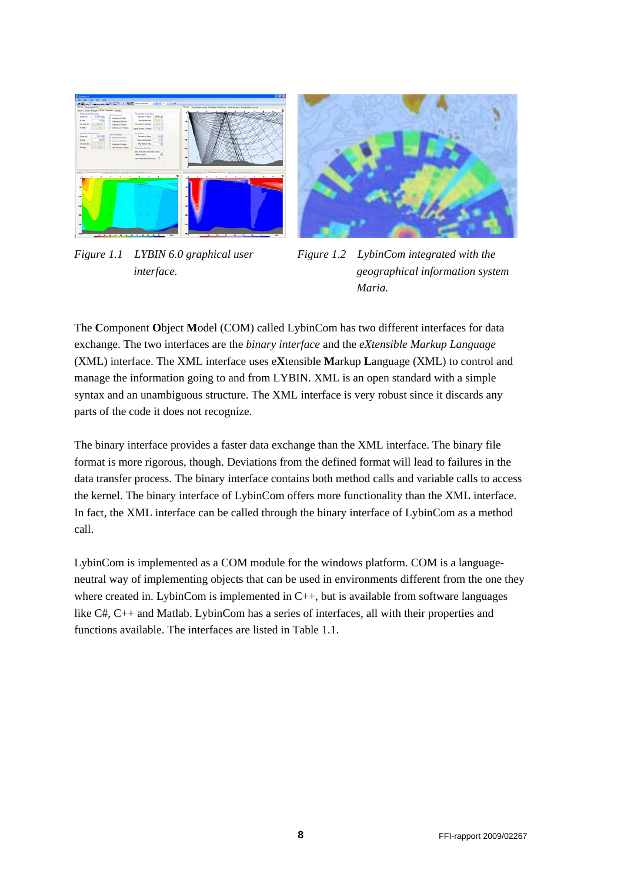

*Figure 1.1 LYBIN 6.0 graphical user interface.* 



*Figure 1.2 LybinCom integrated with the geographical information system Maria.* 

The **C**omponent **O**bject **M**odel (COM) called LybinCom has two different interfaces for data exchange. The two interfaces are the *binary interface* and the *eXtensible Markup Language* (XML) interface. The XML interface uses e**X**tensible **M**arkup **L**anguage (XML) to control and manage the information going to and from LYBIN. XML is an open standard with a simple syntax and an unambiguous structure. The XML interface is very robust since it discards any parts of the code it does not recognize.

The binary interface provides a faster data exchange than the XML interface. The binary file format is more rigorous, though. Deviations from the defined format will lead to failures in the data transfer process. The binary interface contains both method calls and variable calls to access the kernel. The binary interface of LybinCom offers more functionality than the XML interface. In fact, the XML interface can be called through the binary interface of LybinCom as a method call.

LybinCom is implemented as a COM module for the windows platform. COM is a languageneutral way of implementing objects that can be used in environments different from the one they where created in. LybinCom is implemented in  $C_{++}$ , but is available from software languages like C#, C++ and Matlab. LybinCom has a series of interfaces, all with their properties and functions available. The interfaces are listed in Table 1.1.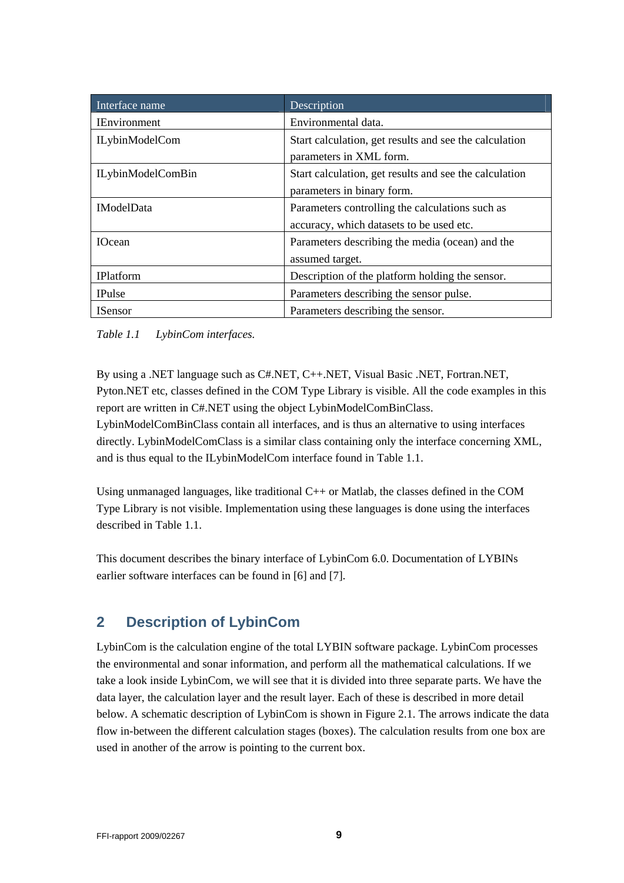| Interface name           | Description                                                                                 |
|--------------------------|---------------------------------------------------------------------------------------------|
| <b>IEnvironment</b>      | Environmental data.                                                                         |
| <b>ILybinModelCom</b>    | Start calculation, get results and see the calculation<br>parameters in XML form.           |
| <b>ILybinModelComBin</b> | Start calculation, get results and see the calculation<br>parameters in binary form.        |
| <b>IModelData</b>        | Parameters controlling the calculations such as<br>accuracy, which datasets to be used etc. |
| <b>IOcean</b>            | Parameters describing the media (ocean) and the<br>assumed target.                          |
| <b>IPlatform</b>         | Description of the platform holding the sensor.                                             |
| <b>IPulse</b>            | Parameters describing the sensor pulse.                                                     |
| <b>ISensor</b>           | Parameters describing the sensor.                                                           |

*Table 1.1 LybinCom interfaces.* 

By using a .NET language such as C#.NET, C++.NET, Visual Basic .NET, Fortran.NET, Pyton.NET etc, classes defined in the COM Type Library is visible. All the code examples in this report are written in C#.NET using the object LybinModelComBinClass. LybinModelComBinClass contain all interfaces, and is thus an alternative to using interfaces directly. LybinModelComClass is a similar class containing only the interface concerning XML, and is thus equal to the ILybinModelCom interface found in Table 1.1.

Using unmanaged languages, like traditional C++ or Matlab, the classes defined in the COM Type Library is not visible. Implementation using these languages is done using the interfaces described in Table 1.1.

This document describes the binary interface of LybinCom 6.0. Documentation of LYBINs earlier software interfaces can be found in [6] and [7].

## **2 Description of LybinCom**

LybinCom is the calculation engine of the total LYBIN software package. LybinCom processes the environmental and sonar information, and perform all the mathematical calculations. If we take a look inside LybinCom, we will see that it is divided into three separate parts. We have the data layer, the calculation layer and the result layer. Each of these is described in more detail below. A schematic description of LybinCom is shown in Figure 2.1. The arrows indicate the data flow in-between the different calculation stages (boxes). The calculation results from one box are used in another of the arrow is pointing to the current box.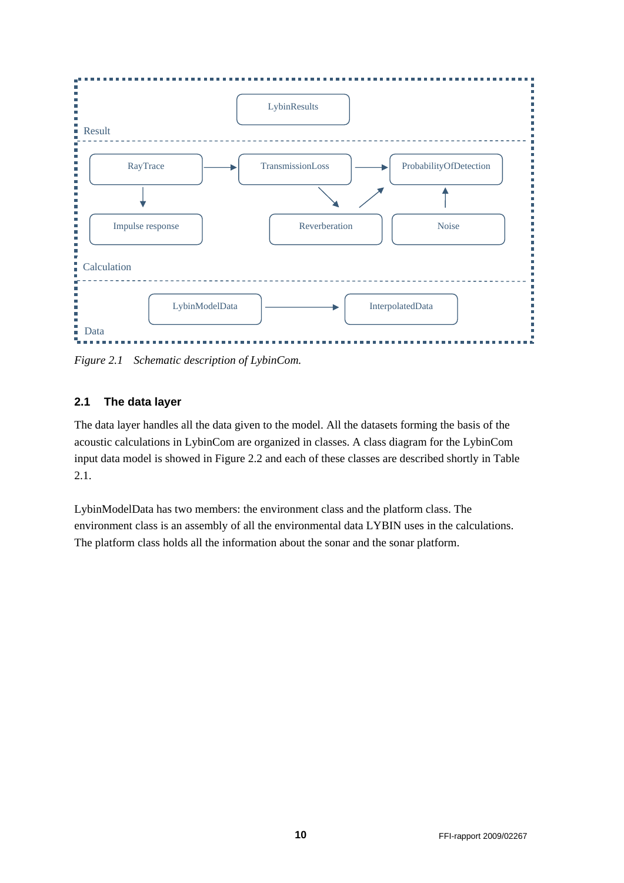

*Figure 2.1 Schematic description of LybinCom.* 

### **2.1 The data layer**

The data layer handles all the data given to the model. All the datasets forming the basis of the acoustic calculations in LybinCom are organized in classes. A class diagram for the LybinCom input data model is showed in Figure 2.2 and each of these classes are described shortly in Table 2.1.

LybinModelData has two members: the environment class and the platform class. The environment class is an assembly of all the environmental data LYBIN uses in the calculations. The platform class holds all the information about the sonar and the sonar platform.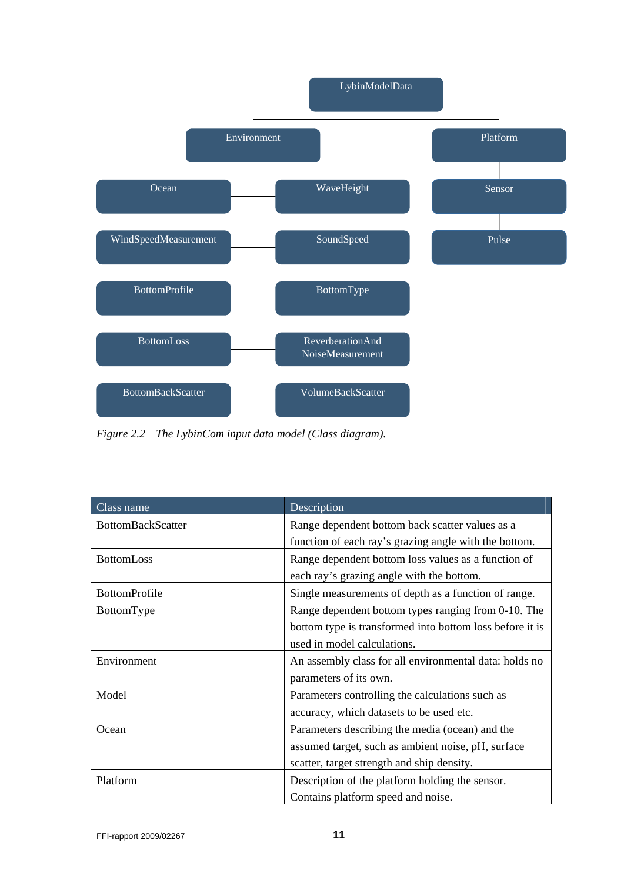

*Figure 2.2 The LybinCom input data model (Class diagram).* 

| Class name           | Description                                              |  |
|----------------------|----------------------------------------------------------|--|
| BottomBackScatter    | Range dependent bottom back scatter values as a          |  |
|                      | function of each ray's grazing angle with the bottom.    |  |
| <b>BottomLoss</b>    | Range dependent bottom loss values as a function of      |  |
|                      | each ray's grazing angle with the bottom.                |  |
| <b>BottomProfile</b> | Single measurements of depth as a function of range.     |  |
| BottomType           | Range dependent bottom types ranging from 0-10. The      |  |
|                      | bottom type is transformed into bottom loss before it is |  |
|                      | used in model calculations.                              |  |
| Environment          | An assembly class for all environmental data: holds no   |  |
|                      | parameters of its own.                                   |  |
| Model                | Parameters controlling the calculations such as          |  |
|                      | accuracy, which datasets to be used etc.                 |  |
| Ocean                | Parameters describing the media (ocean) and the          |  |
|                      | assumed target, such as ambient noise, pH, surface       |  |
|                      | scatter, target strength and ship density.               |  |
| Platform             | Description of the platform holding the sensor.          |  |
|                      | Contains platform speed and noise.                       |  |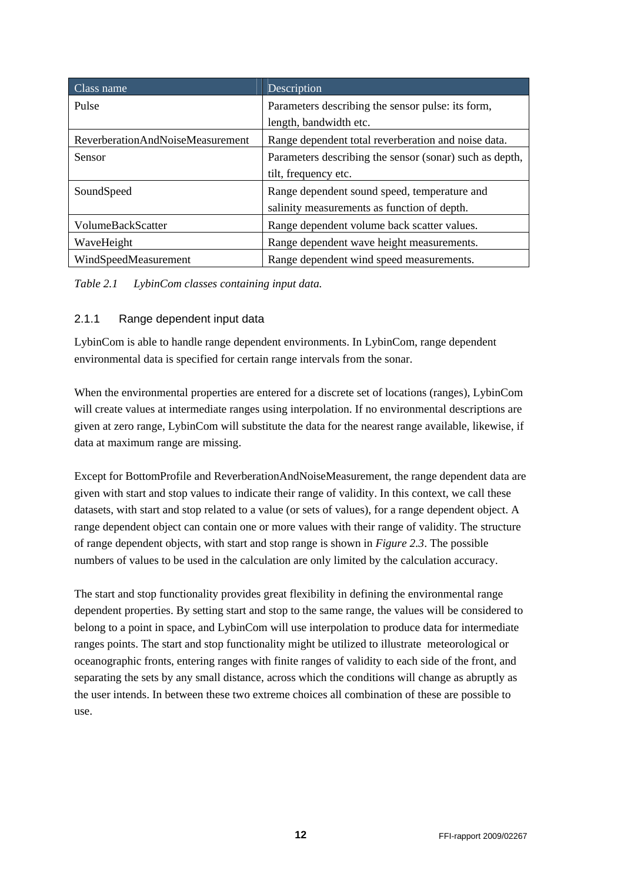| Class name                       | Description                                             |
|----------------------------------|---------------------------------------------------------|
| Pulse                            | Parameters describing the sensor pulse: its form,       |
|                                  | length, bandwidth etc.                                  |
| ReverberationAndNoiseMeasurement | Range dependent total reverberation and noise data.     |
| <b>Sensor</b>                    | Parameters describing the sensor (sonar) such as depth, |
|                                  | tilt, frequency etc.                                    |
| SoundSpeed                       | Range dependent sound speed, temperature and            |
|                                  | salinity measurements as function of depth.             |
| VolumeBackScatter                | Range dependent volume back scatter values.             |
| WaveHeight                       | Range dependent wave height measurements.               |
| WindSpeedMeasurement             | Range dependent wind speed measurements.                |

*Table 2.1 LybinCom classes containing input data.* 

#### 2.1.1 Range dependent input data

LybinCom is able to handle range dependent environments. In LybinCom, range dependent environmental data is specified for certain range intervals from the sonar.

When the environmental properties are entered for a discrete set of locations (ranges), LybinCom will create values at intermediate ranges using interpolation. If no environmental descriptions are given at zero range, LybinCom will substitute the data for the nearest range available, likewise, if data at maximum range are missing.

Except for BottomProfile and ReverberationAndNoiseMeasurement, the range dependent data are given with start and stop values to indicate their range of validity. In this context, we call these datasets, with start and stop related to a value (or sets of values), for a range dependent object. A range dependent object can contain one or more values with their range of validity. The structure of range dependent objects, with start and stop range is shown in *Figure 2.3*. The possible numbers of values to be used in the calculation are only limited by the calculation accuracy.

The start and stop functionality provides great flexibility in defining the environmental range dependent properties. By setting start and stop to the same range, the values will be considered to belong to a point in space, and LybinCom will use interpolation to produce data for intermediate ranges points. The start and stop functionality might be utilized to illustrate meteorological or oceanographic fronts, entering ranges with finite ranges of validity to each side of the front, and separating the sets by any small distance, across which the conditions will change as abruptly as the user intends. In between these two extreme choices all combination of these are possible to use.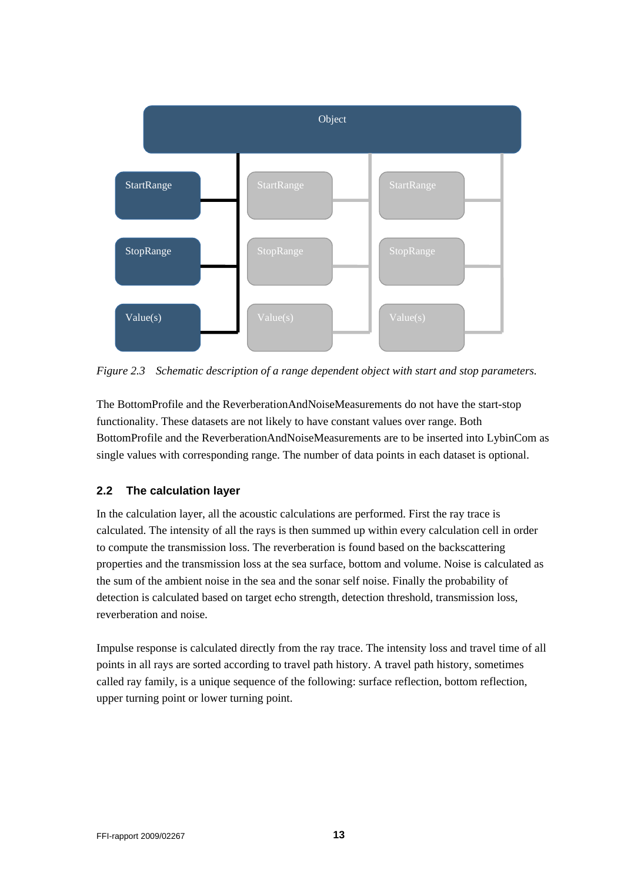

*Figure 2.3 Schematic description of a range dependent object with start and stop parameters.* 

The BottomProfile and the ReverberationAndNoiseMeasurements do not have the start-stop functionality. These datasets are not likely to have constant values over range. Both BottomProfile and the ReverberationAndNoiseMeasurements are to be inserted into LybinCom as single values with corresponding range. The number of data points in each dataset is optional.

### **2.2 The calculation layer**

In the calculation layer, all the acoustic calculations are performed. First the ray trace is calculated. The intensity of all the rays is then summed up within every calculation cell in order to compute the transmission loss. The reverberation is found based on the backscattering properties and the transmission loss at the sea surface, bottom and volume. Noise is calculated as the sum of the ambient noise in the sea and the sonar self noise. Finally the probability of detection is calculated based on target echo strength, detection threshold, transmission loss, reverberation and noise.

Impulse response is calculated directly from the ray trace. The intensity loss and travel time of all points in all rays are sorted according to travel path history. A travel path history, sometimes called ray family, is a unique sequence of the following: surface reflection, bottom reflection, upper turning point or lower turning point.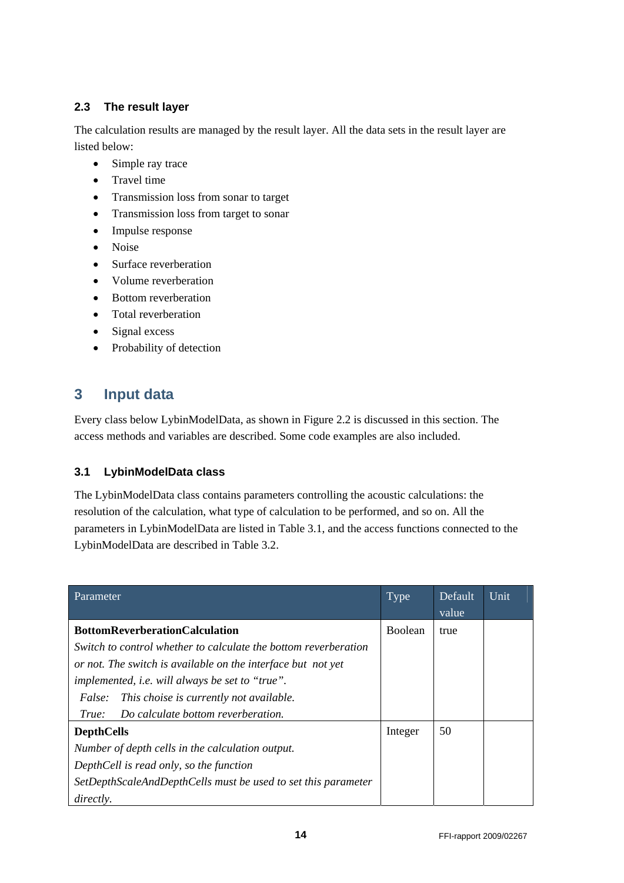### **2.3 The result layer**

The calculation results are managed by the result layer. All the data sets in the result layer are listed below:

- Simple ray trace
- Travel time
- Transmission loss from sonar to target
- Transmission loss from target to sonar
- Impulse response
- Noise
- Surface reverberation
- Volume reverberation
- Bottom reverberation
- Total reverberation
- Signal excess
- Probability of detection

## **3 Input data**

Every class below LybinModelData, as shown in Figure 2.2 is discussed in this section. The access methods and variables are described. Some code examples are also included.

## **3.1 LybinModelData class**

The LybinModelData class contains parameters controlling the acoustic calculations: the resolution of the calculation, what type of calculation to be performed, and so on. All the parameters in LybinModelData are listed in Table 3.1, and the access functions connected to the LybinModelData are described in Table 3.2.

| Parameter                                                       | Type           | Default<br>value | Unit |
|-----------------------------------------------------------------|----------------|------------------|------|
| <b>BottomReverberationCalculation</b>                           | <b>Boolean</b> | true             |      |
| Switch to control whether to calculate the bottom reverberation |                |                  |      |
| or not. The switch is available on the interface but not yet    |                |                  |      |
| <i>implemented, i.e. will always be set to "true".</i>          |                |                  |      |
| This choise is currently not available.<br><i>False:</i>        |                |                  |      |
| Do calculate bottom reverberation.<br>True:                     |                |                  |      |
| <b>DepthCells</b>                                               | Integer        | 50               |      |
| Number of depth cells in the calculation output.                |                |                  |      |
| DepthCell is read only, so the function                         |                |                  |      |
| SetDepthScaleAndDepthCells must be used to set this parameter   |                |                  |      |
| <i>directly.</i>                                                |                |                  |      |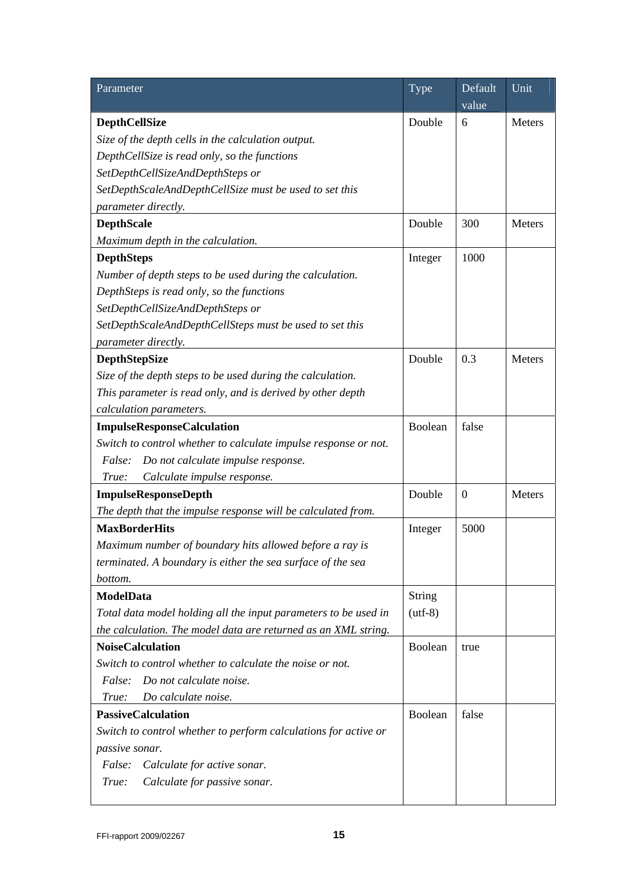| Parameter                                                       | Type          | Default<br>value | Unit          |
|-----------------------------------------------------------------|---------------|------------------|---------------|
| <b>DepthCellSize</b>                                            | Double        | 6                | Meters        |
| Size of the depth cells in the calculation output.              |               |                  |               |
| DepthCellSize is read only, so the functions                    |               |                  |               |
| SetDepthCellSizeAndDepthSteps or                                |               |                  |               |
| SetDepthScaleAndDepthCellSize must be used to set this          |               |                  |               |
| parameter directly.                                             |               |                  |               |
| <b>DepthScale</b>                                               | Double        | 300              | Meters        |
| Maximum depth in the calculation.                               |               |                  |               |
| <b>DepthSteps</b>                                               | Integer       | 1000             |               |
| Number of depth steps to be used during the calculation.        |               |                  |               |
| DepthSteps is read only, so the functions                       |               |                  |               |
| SetDepthCellSizeAndDepthSteps or                                |               |                  |               |
| SetDepthScaleAndDepthCellSteps must be used to set this         |               |                  |               |
| parameter directly.                                             |               |                  |               |
| <b>DepthStepSize</b>                                            | Double        | 0.3              | <b>Meters</b> |
| Size of the depth steps to be used during the calculation.      |               |                  |               |
| This parameter is read only, and is derived by other depth      |               |                  |               |
| calculation parameters.                                         |               |                  |               |
| <b>ImpulseResponseCalculation</b>                               | Boolean       | false            |               |
| Switch to control whether to calculate impulse response or not. |               |                  |               |
| False:<br>Do not calculate impulse response.                    |               |                  |               |
| Calculate impulse response.<br>True:                            |               |                  |               |
| <b>ImpulseResponseDepth</b>                                     | Double        | $\boldsymbol{0}$ | Meters        |
| The depth that the impulse response will be calculated from.    |               |                  |               |
| <b>MaxBorderHits</b>                                            | Integer       | 5000             |               |
| Maximum number of boundary hits allowed before a ray is         |               |                  |               |
| terminated. A boundary is either the sea surface of the sea     |               |                  |               |
| bottom.                                                         |               |                  |               |
| <b>ModelData</b>                                                | <b>String</b> |                  |               |
| Total data model holding all the input parameters to be used in | $(utf-8)$     |                  |               |
| the calculation. The model data are returned as an XML string.  |               |                  |               |
| <b>NoiseCalculation</b>                                         | Boolean       | true             |               |
| Switch to control whether to calculate the noise or not.        |               |                  |               |
| Do not calculate noise.<br><i>False:</i>                        |               |                  |               |
| Do calculate noise.<br>True:                                    |               |                  |               |
| <b>PassiveCalculation</b>                                       | Boolean       | false            |               |
| Switch to control whether to perform calculations for active or |               |                  |               |
| passive sonar.                                                  |               |                  |               |
| False:<br>Calculate for active sonar.                           |               |                  |               |
| True:<br>Calculate for passive sonar.                           |               |                  |               |
|                                                                 |               |                  |               |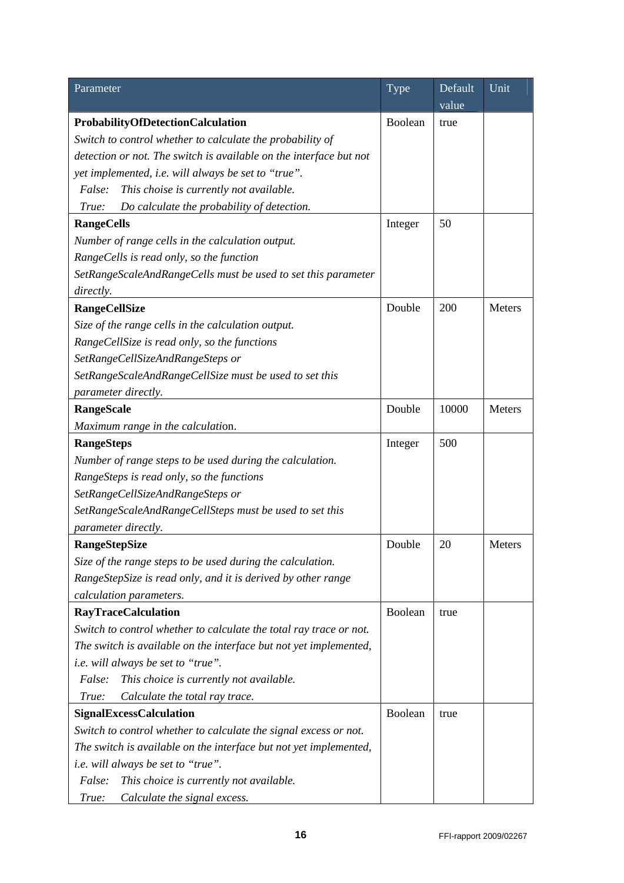| Parameter                                                          | Type    | Default | Unit   |
|--------------------------------------------------------------------|---------|---------|--------|
|                                                                    |         | value   |        |
| <b>ProbabilityOfDetectionCalculation</b>                           | Boolean | true    |        |
| Switch to control whether to calculate the probability of          |         |         |        |
| detection or not. The switch is available on the interface but not |         |         |        |
| yet implemented, i.e. will always be set to "true".                |         |         |        |
| This choise is currently not available.<br><i>False:</i>           |         |         |        |
| Do calculate the probability of detection.<br>True:                |         |         |        |
| <b>RangeCells</b>                                                  | Integer | 50      |        |
| Number of range cells in the calculation output.                   |         |         |        |
| RangeCells is read only, so the function                           |         |         |        |
| SetRangeScaleAndRangeCells must be used to set this parameter      |         |         |        |
| directly.                                                          |         |         |        |
| <b>RangeCellSize</b>                                               | Double  | 200     | Meters |
| Size of the range cells in the calculation output.                 |         |         |        |
| RangeCellSize is read only, so the functions                       |         |         |        |
| SetRangeCellSizeAndRangeSteps or                                   |         |         |        |
| SetRangeScaleAndRangeCellSize must be used to set this             |         |         |        |
| parameter directly.                                                |         |         |        |
| <b>RangeScale</b>                                                  | Double  | 10000   | Meters |
| Maximum range in the calculation.                                  |         |         |        |
| <b>RangeSteps</b>                                                  | Integer | 500     |        |
| Number of range steps to be used during the calculation.           |         |         |        |
| RangeSteps is read only, so the functions                          |         |         |        |
| SetRangeCellSizeAndRangeSteps or                                   |         |         |        |
| SetRangeScaleAndRangeCellSteps must be used to set this            |         |         |        |
| parameter directly.                                                |         |         |        |
| <b>RangeStepSize</b>                                               | Double  | 20      | Meters |
| Size of the range steps to be used during the calculation.         |         |         |        |
| RangeStepSize is read only, and it is derived by other range       |         |         |        |
| calculation parameters.                                            |         |         |        |
| <b>RayTraceCalculation</b>                                         | Boolean | true    |        |
| Switch to control whether to calculate the total ray trace or not. |         |         |        |
| The switch is available on the interface but not yet implemented,  |         |         |        |
| <i>i.e.</i> will always be set to "true".                          |         |         |        |
| This choice is currently not available.<br><i>False:</i>           |         |         |        |
| Calculate the total ray trace.<br>True:                            |         |         |        |
| <b>SignalExcessCalculation</b>                                     | Boolean | true    |        |
| Switch to control whether to calculate the signal excess or not.   |         |         |        |
| The switch is available on the interface but not yet implemented,  |         |         |        |
| <i>i.e.</i> will always be set to "true".                          |         |         |        |
| False:<br>This choice is currently not available.                  |         |         |        |
| Calculate the signal excess.<br>True:                              |         |         |        |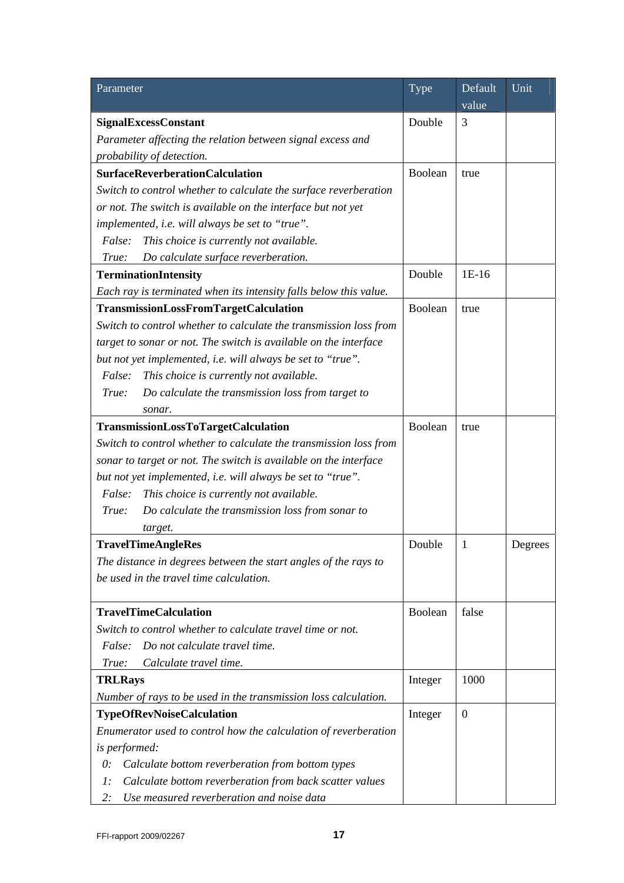| Parameter                                                                   | Type    | Default          | Unit    |
|-----------------------------------------------------------------------------|---------|------------------|---------|
|                                                                             |         | value            |         |
| <b>SignalExcessConstant</b>                                                 | Double  | 3                |         |
| Parameter affecting the relation between signal excess and                  |         |                  |         |
| probability of detection.                                                   |         |                  |         |
| <b>SurfaceReverberationCalculation</b>                                      | Boolean | true             |         |
| Switch to control whether to calculate the surface reverberation            |         |                  |         |
| or not. The switch is available on the interface but not yet                |         |                  |         |
| implemented, i.e. will always be set to "true".                             |         |                  |         |
| This choice is currently not available.<br>False:                           |         |                  |         |
| Do calculate surface reverberation.<br>True:                                |         |                  |         |
| <b>TerminationIntensity</b>                                                 | Double  | $1E-16$          |         |
| Each ray is terminated when its intensity falls below this value.           |         |                  |         |
| <b>TransmissionLossFromTargetCalculation</b>                                | Boolean | true             |         |
| Switch to control whether to calculate the transmission loss from           |         |                  |         |
| target to sonar or not. The switch is available on the interface            |         |                  |         |
| but not yet implemented, i.e. will always be set to "true".                 |         |                  |         |
| False:<br>This choice is currently not available.                           |         |                  |         |
| True:<br>Do calculate the transmission loss from target to                  |         |                  |         |
| sonar.                                                                      |         |                  |         |
| TransmissionLossToTargetCalculation                                         | Boolean | true             |         |
| Switch to control whether to calculate the transmission loss from           |         |                  |         |
| sonar to target or not. The switch is available on the interface            |         |                  |         |
| but not yet implemented, i.e. will always be set to "true".                 |         |                  |         |
| False:<br>This choice is currently not available.                           |         |                  |         |
| True:<br>Do calculate the transmission loss from sonar to                   |         |                  |         |
| target.                                                                     |         |                  |         |
| <b>TravelTimeAngleRes</b>                                                   | Double  | 1                | Degrees |
| The distance in degrees between the start angles of the rays to             |         |                  |         |
| be used in the travel time calculation.                                     |         |                  |         |
|                                                                             |         |                  |         |
| <b>TravelTimeCalculation</b>                                                | Boolean | false            |         |
| Switch to control whether to calculate travel time or not.                  |         |                  |         |
| Do not calculate travel time.<br><i>False:</i>                              |         |                  |         |
| Calculate travel time.<br>True:                                             |         |                  |         |
| <b>TRLRays</b>                                                              | Integer | 1000             |         |
| Number of rays to be used in the transmission loss calculation.             |         |                  |         |
| <b>TypeOfRevNoiseCalculation</b>                                            | Integer | $\boldsymbol{0}$ |         |
| Enumerator used to control how the calculation of reverberation             |         |                  |         |
| is performed:                                                               |         |                  |         |
| Calculate bottom reverberation from bottom types<br>$\theta$ :              |         |                  |         |
| Calculate bottom reverberation from back scatter values<br>$\mathfrak{l}$ : |         |                  |         |
| Use measured reverberation and noise data<br>2:                             |         |                  |         |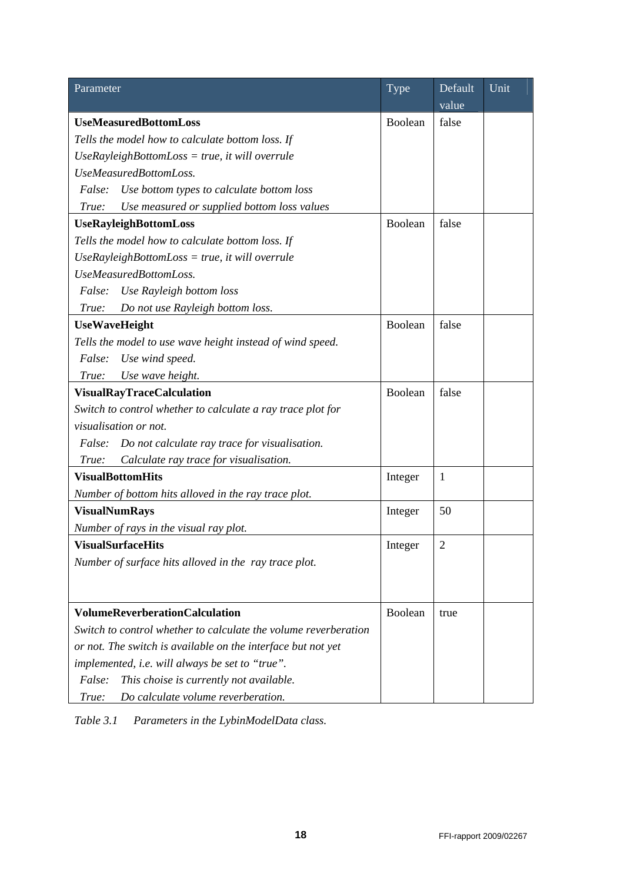| Parameter                                                       | <b>Type</b> | Default        | Unit |
|-----------------------------------------------------------------|-------------|----------------|------|
|                                                                 |             | value          |      |
| <b>UseMeasuredBottomLoss</b>                                    | Boolean     | false          |      |
| Tells the model how to calculate bottom loss. If                |             |                |      |
| $Use RayleighBottomLoss = true$ , it will overrule              |             |                |      |
| UseMeasuredBottomLoss.                                          |             |                |      |
| False:<br>Use bottom types to calculate bottom loss             |             |                |      |
| Use measured or supplied bottom loss values<br>True:            |             |                |      |
| <b>UseRayleighBottomLoss</b>                                    | Boolean     | false          |      |
| Tells the model how to calculate bottom loss. If                |             |                |      |
| $Use RayleighBottomLoss = true$ , it will overrule              |             |                |      |
| UseMeasuredBottomLoss.                                          |             |                |      |
| Use Rayleigh bottom loss<br>False:                              |             |                |      |
| Do not use Rayleigh bottom loss.<br>True:                       |             |                |      |
| <b>UseWaveHeight</b>                                            | Boolean     | false          |      |
| Tells the model to use wave height instead of wind speed.       |             |                |      |
| False:<br>Use wind speed.                                       |             |                |      |
| Use wave height.<br>True:                                       |             |                |      |
| <b>VisualRayTraceCalculation</b>                                | Boolean     | false          |      |
| Switch to control whether to calculate a ray trace plot for     |             |                |      |
| visualisation or not.                                           |             |                |      |
| Do not calculate ray trace for visualisation.<br><i>False:</i>  |             |                |      |
| Calculate ray trace for visualisation.<br>True:                 |             |                |      |
| <b>VisualBottomHits</b>                                         | Integer     | $\mathbf{1}$   |      |
| Number of bottom hits alloved in the ray trace plot.            |             |                |      |
| <b>VisualNumRays</b>                                            | Integer     | 50             |      |
| Number of rays in the visual ray plot.                          |             |                |      |
| <b>VisualSurfaceHits</b>                                        | Integer     | $\overline{2}$ |      |
| Number of surface hits alloved in the ray trace plot.           |             |                |      |
|                                                                 |             |                |      |
|                                                                 |             |                |      |
| <b>VolumeReverberationCalculation</b>                           | Boolean     | true           |      |
| Switch to control whether to calculate the volume reverberation |             |                |      |
| or not. The switch is available on the interface but not yet    |             |                |      |
| implemented, i.e. will always be set to "true".                 |             |                |      |
| False:<br>This choise is currently not available.               |             |                |      |
| Do calculate volume reverberation.<br>True:                     |             |                |      |

*Table 3.1 Parameters in the LybinModelData class.*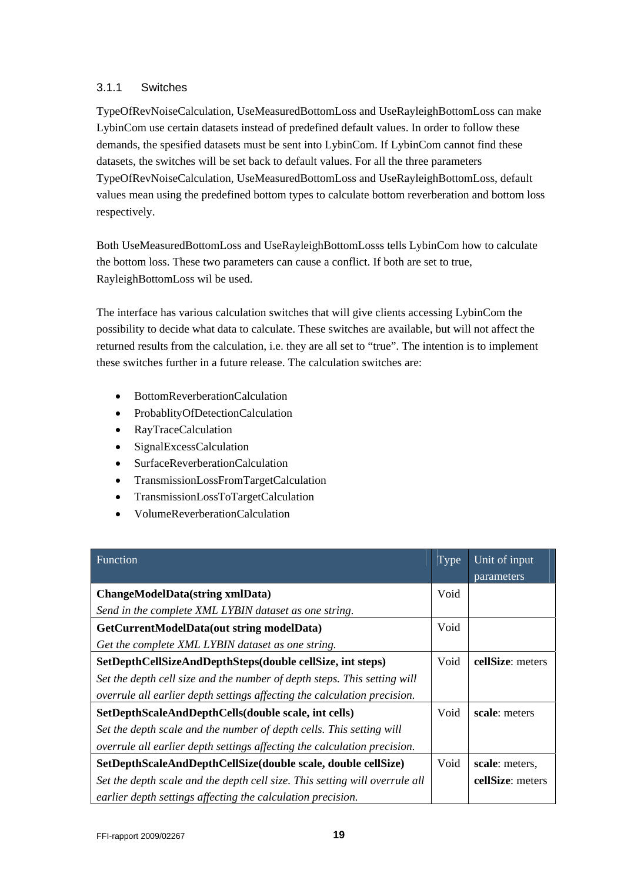#### 3.1.1 Switches

TypeOfRevNoiseCalculation, UseMeasuredBottomLoss and UseRayleighBottomLoss can make LybinCom use certain datasets instead of predefined default values. In order to follow these demands, the spesified datasets must be sent into LybinCom. If LybinCom cannot find these datasets, the switches will be set back to default values. For all the three parameters TypeOfRevNoiseCalculation, UseMeasuredBottomLoss and UseRayleighBottomLoss, default values mean using the predefined bottom types to calculate bottom reverberation and bottom loss respectively.

Both UseMeasuredBottomLoss and UseRayleighBottomLosss tells LybinCom how to calculate the bottom loss. These two parameters can cause a conflict. If both are set to true, RayleighBottomLoss wil be used.

The interface has various calculation switches that will give clients accessing LybinCom the possibility to decide what data to calculate. These switches are available, but will not affect the returned results from the calculation, i.e. they are all set to "true". The intention is to implement these switches further in a future release. The calculation switches are:

- BottomReverberationCalculation
- ProbablityOfDetectionCalculation
- RayTraceCalculation
- SignalExcessCalculation
- SurfaceReverberationCalculation
- TransmissionLossFromTargetCalculation
- TransmissionLossToTargetCalculation
- VolumeReverberationCalculation

| Function                                                                    | Type | Unit of input    |
|-----------------------------------------------------------------------------|------|------------------|
|                                                                             |      | parameters       |
| <b>ChangeModelData(string xmlData)</b>                                      | Void |                  |
| Send in the complete XML LYBIN dataset as one string.                       |      |                  |
| GetCurrentModelData(out string modelData)                                   | Void |                  |
| Get the complete XML LYBIN dataset as one string.                           |      |                  |
| SetDepthCellSizeAndDepthSteps(double cellSize, int steps)                   | Void | cellSize: meters |
| Set the depth cell size and the number of depth steps. This setting will    |      |                  |
| overrule all earlier depth settings affecting the calculation precision.    |      |                  |
| SetDepthScaleAndDepthCells(double scale, int cells)                         | Void | scale: meters    |
| Set the depth scale and the number of depth cells. This setting will        |      |                  |
| overrule all earlier depth settings affecting the calculation precision.    |      |                  |
| SetDepthScaleAndDepthCellSize(double scale, double cellSize)                | Void | scale: meters,   |
| Set the depth scale and the depth cell size. This setting will overrule all |      | cellSize: meters |
| earlier depth settings affecting the calculation precision.                 |      |                  |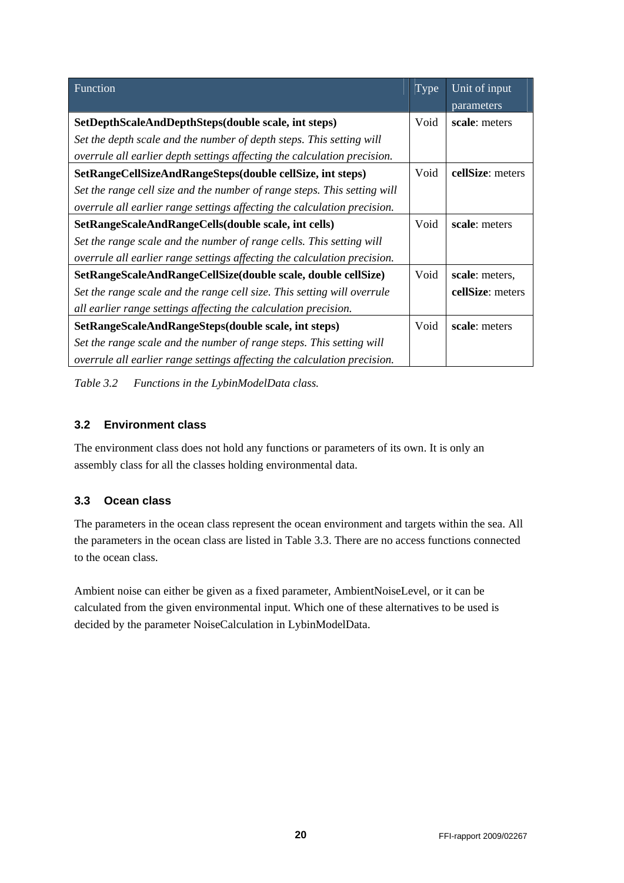| Function                                                                 | Type | Unit of input    |
|--------------------------------------------------------------------------|------|------------------|
|                                                                          |      | parameters       |
| SetDepthScaleAndDepthSteps(double scale, int steps)                      | Void | scale: meters    |
| Set the depth scale and the number of depth steps. This setting will     |      |                  |
| overrule all earlier depth settings affecting the calculation precision. |      |                  |
| SetRangeCellSizeAndRangeSteps(double cellSize, int steps)                | Void | cellSize: meters |
| Set the range cell size and the number of range steps. This setting will |      |                  |
| overrule all earlier range settings affecting the calculation precision. |      |                  |
| SetRangeScaleAndRangeCells(double scale, int cells)                      | Void | scale: meters    |
| Set the range scale and the number of range cells. This setting will     |      |                  |
| overrule all earlier range settings affecting the calculation precision. |      |                  |
| SetRangeScaleAndRangeCellSize(double scale, double cellSize)             | Void | scale: meters,   |
| Set the range scale and the range cell size. This setting will overrule  |      | cellSize: meters |
| all earlier range settings affecting the calculation precision.          |      |                  |
| SetRangeScaleAndRangeSteps(double scale, int steps)                      | Void | scale: meters    |
| Set the range scale and the number of range steps. This setting will     |      |                  |
| overrule all earlier range settings affecting the calculation precision. |      |                  |

*Table 3.2 Functions in the LybinModelData class.* 

#### **3.2 Environment class**

The environment class does not hold any functions or parameters of its own. It is only an assembly class for all the classes holding environmental data.

#### **3.3 Ocean class**

The parameters in the ocean class represent the ocean environment and targets within the sea. All the parameters in the ocean class are listed in Table 3.3. There are no access functions connected to the ocean class.

Ambient noise can either be given as a fixed parameter, AmbientNoiseLevel, or it can be calculated from the given environmental input. Which one of these alternatives to be used is decided by the parameter NoiseCalculation in LybinModelData.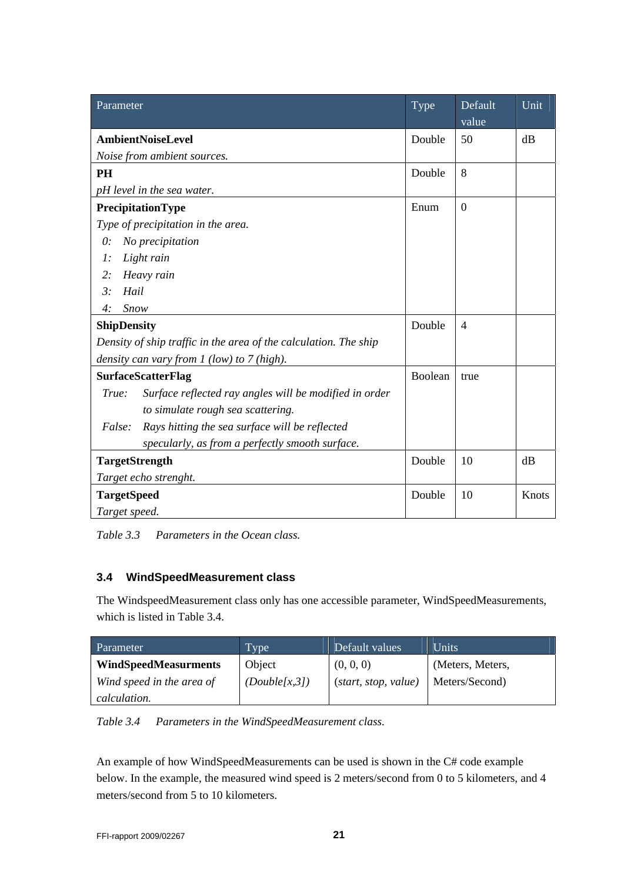| Parameter                                                        | Type    | Default<br>value | Unit  |
|------------------------------------------------------------------|---------|------------------|-------|
| <b>AmbientNoiseLevel</b>                                         | Double  | 50               | dB    |
| Noise from ambient sources.                                      |         |                  |       |
| <b>PH</b>                                                        | Double  | 8                |       |
| pH level in the sea water.                                       |         |                  |       |
| PrecipitationType                                                | Enum    | $\boldsymbol{0}$ |       |
| Type of precipitation in the area.                               |         |                  |       |
| No precipitation<br>$\theta$ :                                   |         |                  |       |
| $\cdot$<br>Light rain                                            |         |                  |       |
| 2:<br>Heavy rain                                                 |         |                  |       |
| $\mathfrak{Z}$ :<br>Hail                                         |         |                  |       |
| 4:<br>Snow                                                       |         |                  |       |
| <b>ShipDensity</b>                                               | Double  | $\overline{4}$   |       |
| Density of ship traffic in the area of the calculation. The ship |         |                  |       |
| density can vary from $1$ (low) to $7$ (high).                   |         |                  |       |
| <b>SurfaceScatterFlag</b>                                        | Boolean | true             |       |
| True:<br>Surface reflected ray angles will be modified in order  |         |                  |       |
| to simulate rough sea scattering.                                |         |                  |       |
| False:<br>Rays hitting the sea surface will be reflected         |         |                  |       |
| specularly, as from a perfectly smooth surface.                  |         |                  |       |
| <b>TargetStrength</b>                                            | Double  | 10               | dB    |
| Target echo strenght.                                            |         |                  |       |
| <b>TargetSpeed</b>                                               | Double  | 10               | Knots |
| Target speed.                                                    |         |                  |       |

*Table 3.3 Parameters in the Ocean class.* 

#### **3.4 WindSpeedMeasurement class**

The WindspeedMeasurement class only has one accessible parameter, WindSpeedMeasurements, which is listed in Table 3.4.

| Parameter                   | Type          | Default values       | <b>Units</b>     |
|-----------------------------|---------------|----------------------|------------------|
| <b>WindSpeedMeasurments</b> | Object        | (0, 0, 0)            | (Meters, Meters, |
| Wind speed in the area of   | (Double[x,3]) | (start, stop, value) | Meters/Second)   |
| <i>calculation.</i>         |               |                      |                  |

*Table 3.4 Parameters in the WindSpeedMeasurement class.* 

An example of how WindSpeedMeasurements can be used is shown in the C# code example below. In the example, the measured wind speed is 2 meters/second from 0 to 5 kilometers, and 4 meters/second from 5 to 10 kilometers.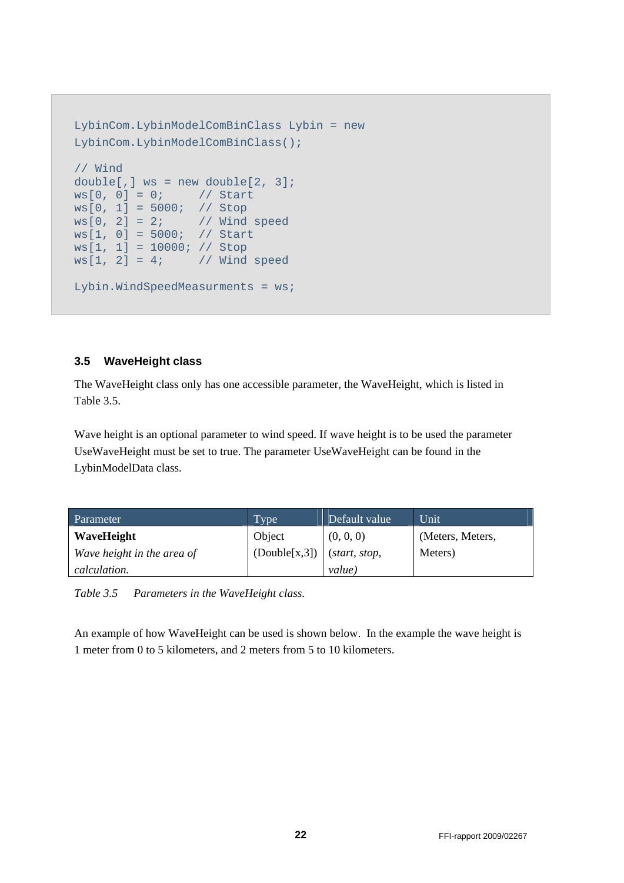```
LybinCom.LybinModelComBinClass Lybin = new 
LybinCom.LybinModelComBinClass(); 
// Wind 
double[,] ws = new double[2, 3]; 
ws[0, 0] = 0; // Start
ws[0, 1] = 5000; // Stop
ws[0, 2] = 2; // Wind speed
ws[1, 0] = 5000; // Start 
ws[1, 1] = 10000; // Stop<br>ws[1, 2] = 4; // Wind// Wind speed
Lybin.WindSpeedMeasurments = ws;
```
#### **3.5 WaveHeight class**

The WaveHeight class only has one accessible parameter, the WaveHeight, which is listed in Table 3.5.

Wave height is an optional parameter to wind speed. If wave height is to be used the parameter UseWaveHeight must be set to true. The parameter UseWaveHeight can be found in the LybinModelData class.

| Parameter                  | Type <sup>1</sup> | Default value         | Unit             |
|----------------------------|-------------------|-----------------------|------------------|
| WaveHeight                 | Object            | (0, 0, 0)             | (Meters, Meters, |
| Wave height in the area of | (Double[x, 3])    | ( <i>start, stop,</i> | Meters)          |
| calculation.               |                   | value)                |                  |

*Table 3.5 Parameters in the WaveHeight class.* 

An example of how WaveHeight can be used is shown below. In the example the wave height is 1 meter from 0 to 5 kilometers, and 2 meters from 5 to 10 kilometers.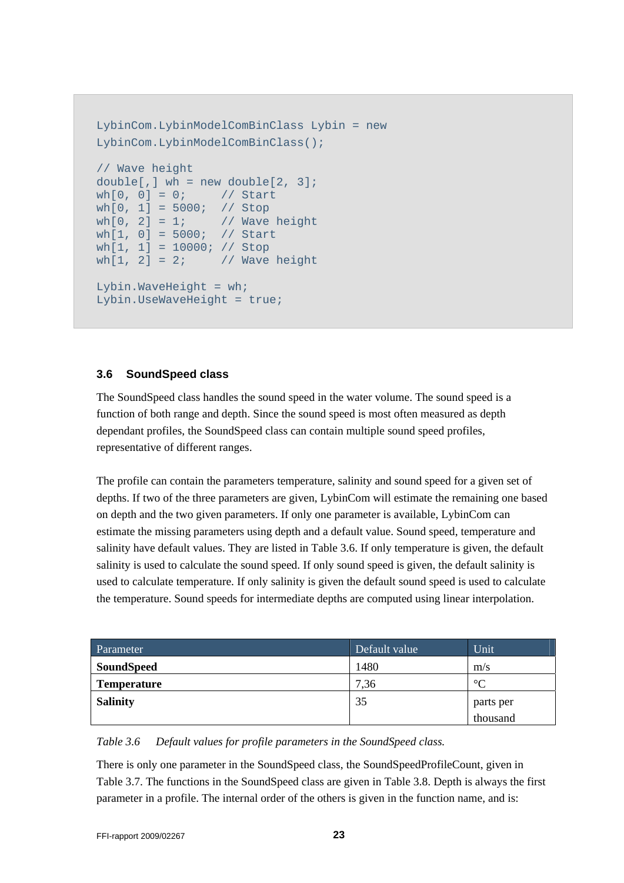```
LybinCom.LybinModelComBinClass Lybin = new 
LybinCom.LybinModelComBinClass(); 
// Wave height 
double[,] wh = new double[2, 3];
wh[0, 0] = 0; // Start
wh[0, 1] = 5000; // Stop
wh[0, 2] = 1; // Wave height
wh[1, 0] = 5000; // Start
wh[1, 1] = 10000; // Stopwh[1, 2] = 2; // Wave height
Lybin.WaveHeight = wh;
Lybin.UseWaveHeight = true;
```
#### **3.6 SoundSpeed class**

The SoundSpeed class handles the sound speed in the water volume. The sound speed is a function of both range and depth. Since the sound speed is most often measured as depth dependant profiles, the SoundSpeed class can contain multiple sound speed profiles, representative of different ranges.

The profile can contain the parameters temperature, salinity and sound speed for a given set of depths. If two of the three parameters are given, LybinCom will estimate the remaining one based on depth and the two given parameters. If only one parameter is available, LybinCom can estimate the missing parameters using depth and a default value. Sound speed, temperature and salinity have default values. They are listed in Table 3.6. If only temperature is given, the default salinity is used to calculate the sound speed. If only sound speed is given, the default salinity is used to calculate temperature. If only salinity is given the default sound speed is used to calculate the temperature. Sound speeds for intermediate depths are computed using linear interpolation.

| Parameter          | Default value | Unit <sup>1</sup> |
|--------------------|---------------|-------------------|
| <b>SoundSpeed</b>  | 1480          | m/s               |
| <b>Temperature</b> | 7,36          | $\circ$           |
| <b>Salinity</b>    | 35            | parts per         |
|                    |               | thousand          |

*Table 3.6 Default values for profile parameters in the SoundSpeed class.* 

There is only one parameter in the SoundSpeed class, the SoundSpeedProfileCount, given in Table 3.7. The functions in the SoundSpeed class are given in Table 3.8. Depth is always the first parameter in a profile. The internal order of the others is given in the function name, and is: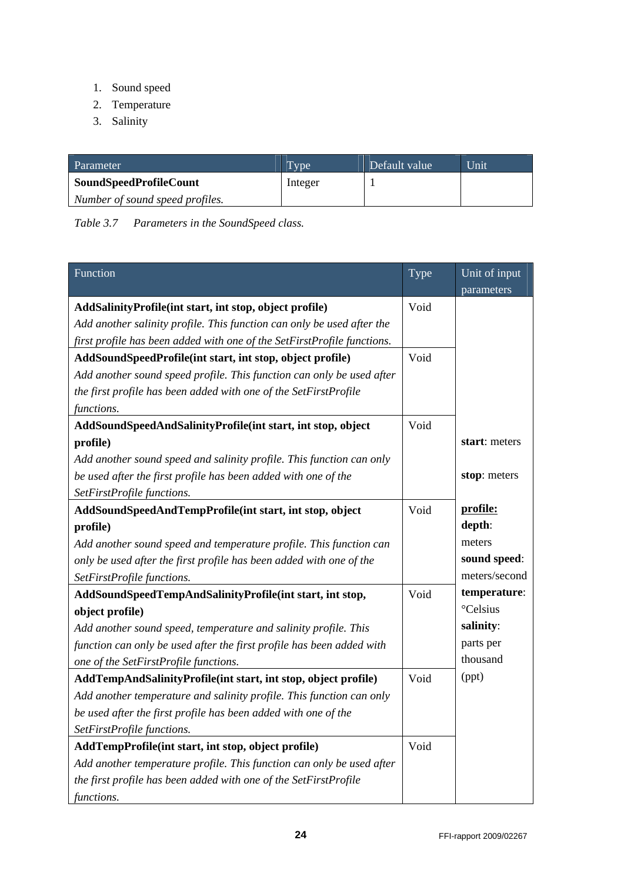- 1. Sound speed
- 2. Temperature
- 3. Salinity

| Parameter                       | Type    | Default value | <b>Unit</b> |
|---------------------------------|---------|---------------|-------------|
| <b>SoundSpeedProfileCount</b>   | Integer |               |             |
| Number of sound speed profiles. |         |               |             |

*Table 3.7 Parameters in the SoundSpeed class.* 

| Function                                                                | Type | Unit of input<br>parameters |
|-------------------------------------------------------------------------|------|-----------------------------|
| AddSalinityProfile(int start, int stop, object profile)                 | Void |                             |
| Add another salinity profile. This function can only be used after the  |      |                             |
| first profile has been added with one of the SetFirstProfile functions. |      |                             |
| AddSoundSpeedProfile(int start, int stop, object profile)               | Void |                             |
| Add another sound speed profile. This function can only be used after   |      |                             |
| the first profile has been added with one of the SetFirstProfile        |      |                             |
| functions.                                                              |      |                             |
| AddSoundSpeedAndSalinityProfile(int start, int stop, object             | Void |                             |
| profile)                                                                |      | start: meters               |
| Add another sound speed and salinity profile. This function can only    |      |                             |
| be used after the first profile has been added with one of the          |      | stop: meters                |
| SetFirstProfile functions.                                              |      |                             |
| AddSoundSpeedAndTempProfile(int start, int stop, object                 | Void | profile:                    |
| profile)                                                                |      | depth:                      |
| Add another sound speed and temperature profile. This function can      |      | meters                      |
| only be used after the first profile has been added with one of the     |      | sound speed:                |
| SetFirstProfile functions.                                              |      | meters/second               |
| AddSoundSpeedTempAndSalinityProfile(int start, int stop,                | Void | temperature:                |
| object profile)                                                         |      | °Celsius                    |
| Add another sound speed, temperature and salinity profile. This         |      | salinity:                   |
| function can only be used after the first profile has been added with   |      | parts per                   |
| one of the SetFirstProfile functions.                                   |      | thousand                    |
| AddTempAndSalinityProfile(int start, int stop, object profile)          | Void | (ppt)                       |
| Add another temperature and salinity profile. This function can only    |      |                             |
| be used after the first profile has been added with one of the          |      |                             |
| SetFirstProfile functions.                                              |      |                             |
| AddTempProfile(int start, int stop, object profile)                     | Void |                             |
| Add another temperature profile. This function can only be used after   |      |                             |
| the first profile has been added with one of the SetFirstProfile        |      |                             |
| functions.                                                              |      |                             |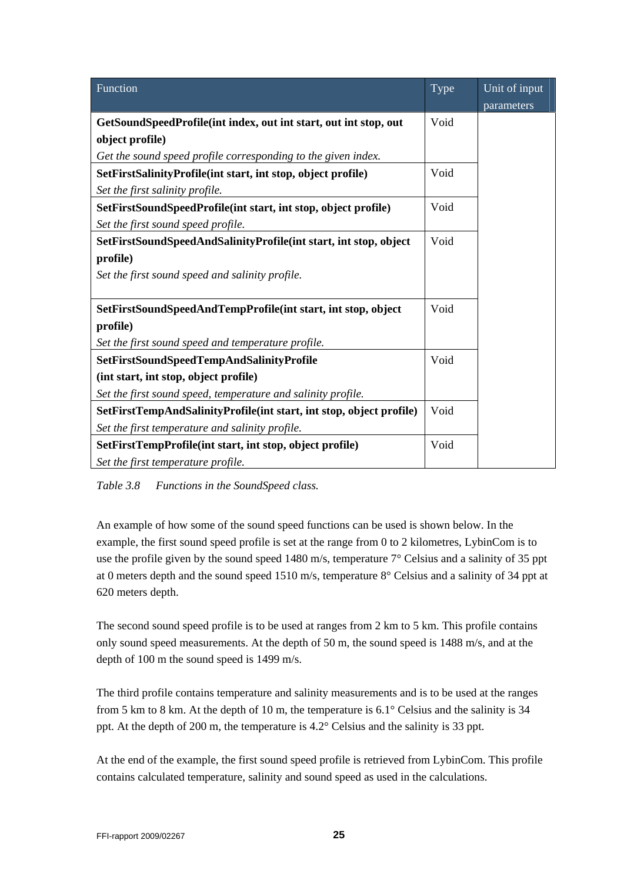| Function                                                            | Type | Unit of input |
|---------------------------------------------------------------------|------|---------------|
|                                                                     |      | parameters    |
| GetSoundSpeedProfile(int index, out int start, out int stop, out    | Void |               |
| object profile)                                                     |      |               |
| Get the sound speed profile corresponding to the given index.       |      |               |
| SetFirstSalinityProfile(int start, int stop, object profile)        | Void |               |
| Set the first salinity profile.                                     |      |               |
| SetFirstSoundSpeedProfile(int start, int stop, object profile)      | Void |               |
| Set the first sound speed profile.                                  |      |               |
| SetFirstSoundSpeedAndSalinityProfile(int start, int stop, object    | Void |               |
| profile)                                                            |      |               |
| Set the first sound speed and salinity profile.                     |      |               |
|                                                                     |      |               |
| SetFirstSoundSpeedAndTempProfile(int start, int stop, object        | Void |               |
| profile)                                                            |      |               |
| Set the first sound speed and temperature profile.                  |      |               |
| SetFirstSoundSpeedTempAndSalinityProfile                            | Void |               |
| (int start, int stop, object profile)                               |      |               |
| Set the first sound speed, temperature and salinity profile.        |      |               |
| SetFirstTempAndSalinityProfile(int start, int stop, object profile) | Void |               |
| Set the first temperature and salinity profile.                     |      |               |
| SetFirstTempProfile(int start, int stop, object profile)            | Void |               |
| Set the first temperature profile.                                  |      |               |

*Table 3.8 Functions in the SoundSpeed class.* 

An example of how some of the sound speed functions can be used is shown below. In the example, the first sound speed profile is set at the range from 0 to 2 kilometres, LybinCom is to use the profile given by the sound speed 1480 m/s, temperature 7° Celsius and a salinity of 35 ppt at 0 meters depth and the sound speed 1510 m/s, temperature 8° Celsius and a salinity of 34 ppt at 620 meters depth.

The second sound speed profile is to be used at ranges from 2 km to 5 km. This profile contains only sound speed measurements. At the depth of 50 m, the sound speed is 1488 m/s, and at the depth of 100 m the sound speed is 1499 m/s.

The third profile contains temperature and salinity measurements and is to be used at the ranges from 5 km to 8 km. At the depth of 10 m, the temperature is 6.1° Celsius and the salinity is 34 ppt. At the depth of 200 m, the temperature is 4.2° Celsius and the salinity is 33 ppt.

At the end of the example, the first sound speed profile is retrieved from LybinCom. This profile contains calculated temperature, salinity and sound speed as used in the calculations.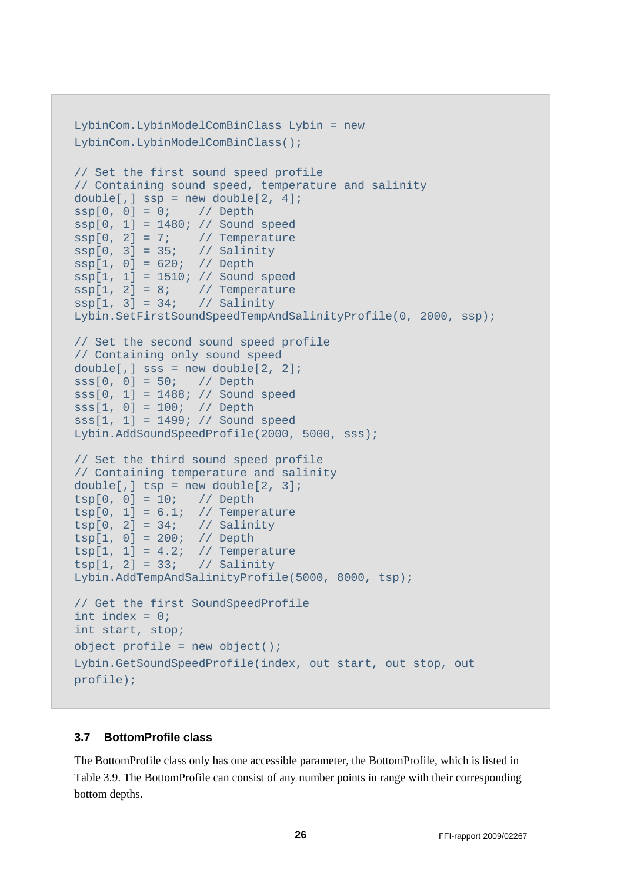```
LybinCom.LybinModelComBinClass Lybin = new 
LybinCom.LybinModelComBinClass(); 
// Set the first sound speed profile 
// Containing sound speed, temperature and salinity 
double[,] ssp = new double[2, 4];ssp[0, 0] = 0; // Depth
ssp[0, 1] = 1480; // Sound speedssp[0, 2] = 7; // Temperature
ssp[0, 3] = 35; // Salinity
ssp[1, 0] = 620; // Depth
ssp[1, 1] = 1510; // Sound speed 
ssp[1, 2] = 8; // Temperature
ssp[1, 3] = 34; // Salinity
Lybin.SetFirstSoundSpeedTempAndSalinityProfile(0, 2000, ssp); 
// Set the second sound speed profile 
// Containing only sound speed 
double[,] sss = new double[2, 2];<br>sss[0, 0] = 50; // Depth
sss[0, 0] = 50;sss[0, 1] = 1488; // Sound speed 
sss[1, 0] = 100; // Depth 
sss[1, 1] = 1499; // Sound speed
Lybin.AddSoundSpeedProfile(2000, 5000, sss); 
// Set the third sound speed profile 
// Containing temperature and salinity 
double[,] tsp = new double[2, 3];tsp[0, 0] = 10; // Depth
tsp[0, 1] = 6.1; // Temperature
tsp[0, 2] = 34; // Salinity
tsp[1, 0] = 200; // Depth
tsp[1, 1] = 4.2; // Temperature
tsp[1, 2] = 33; // Salinity
Lybin.AddTempAndSalinityProfile(5000, 8000, tsp); 
// Get the first SoundSpeedProfile 
int index = 0; 
int start, stop; 
object profile = new object();
Lybin.GetSoundSpeedProfile(index, out start, out stop, out 
profile);
```
#### **3.7 BottomProfile class**

The BottomProfile class only has one accessible parameter, the BottomProfile, which is listed in Table 3.9. The BottomProfile can consist of any number points in range with their corresponding bottom depths.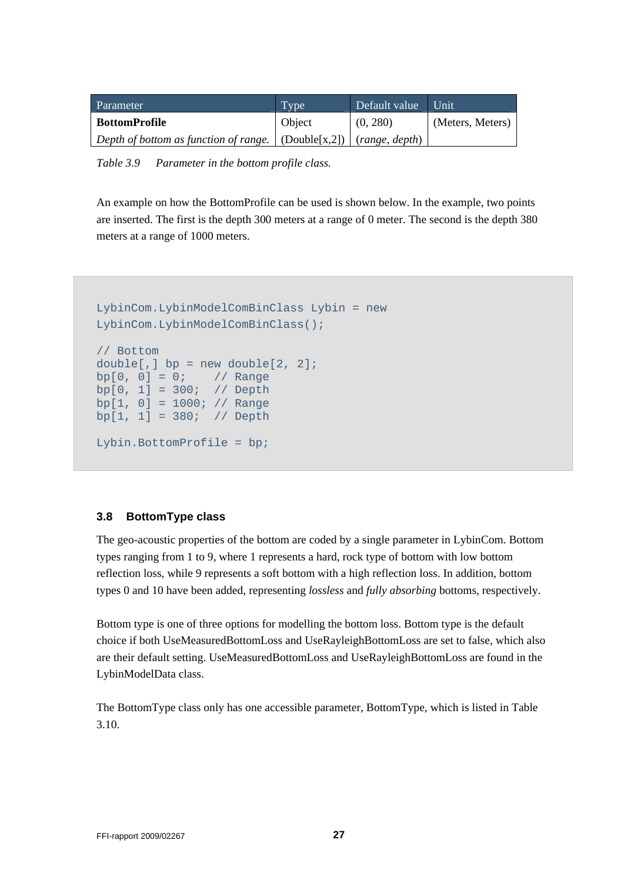| <b>Parameter</b>                                                                   | Type   | Default value | Unit             |
|------------------------------------------------------------------------------------|--------|---------------|------------------|
| <b>BottomProfile</b>                                                               | Object | (0, 280)      | (Meters, Meters) |
| Depth of bottom as function of range. $\vert$ (Double[x,2]) $\vert$ (range, depth) |        |               |                  |

*Table 3.9 Parameter in the bottom profile class.* 

An example on how the BottomProfile can be used is shown below. In the example, two points are inserted. The first is the depth 300 meters at a range of 0 meter. The second is the depth 380 meters at a range of 1000 meters.

```
LybinCom.LybinModelComBinClass Lybin = new 
LybinCom.LybinModelComBinClass(); 
// Bottom 
double[,] bp = new double[2, 2];bp[0, 0] = 0; // Range
bp[0, 1] = 300; // Depth
bp[1, 0] = 1000; // Range
bp[1, 1] = 380; // Depth
Lybin.BottomProfile = bp;
```
#### **3.8 BottomType class**

The geo-acoustic properties of the bottom are coded by a single parameter in LybinCom. Bottom types ranging from 1 to 9, where 1 represents a hard, rock type of bottom with low bottom reflection loss, while 9 represents a soft bottom with a high reflection loss. In addition, bottom types 0 and 10 have been added, representing *lossless* and *fully absorbing* bottoms, respectively.

Bottom type is one of three options for modelling the bottom loss. Bottom type is the default choice if both UseMeasuredBottomLoss and UseRayleighBottomLoss are set to false, which also are their default setting. UseMeasuredBottomLoss and UseRayleighBottomLoss are found in the LybinModelData class.

The BottomType class only has one accessible parameter, BottomType, which is listed in Table 3.10.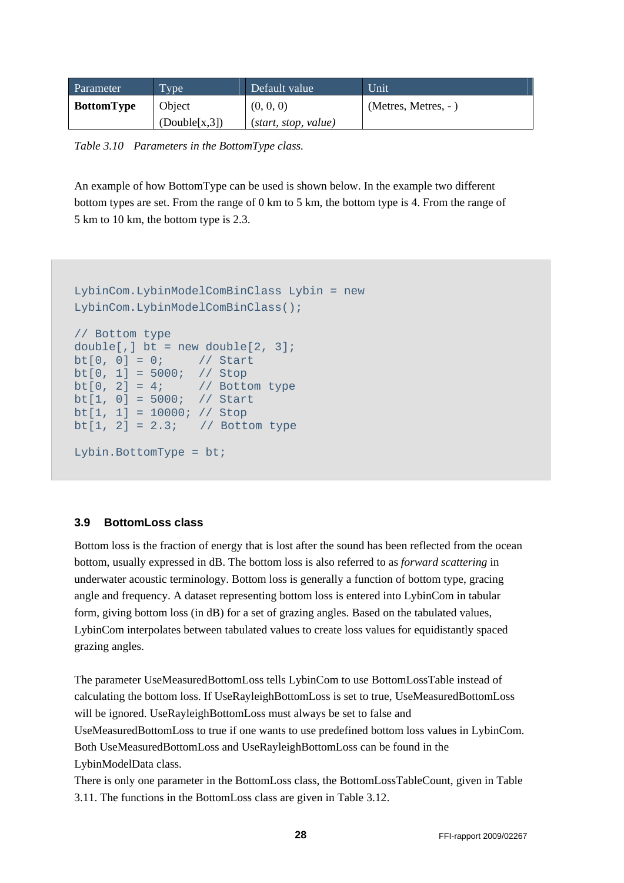| Parameter         | <b>Type</b>    | Default value        | Unit                |
|-------------------|----------------|----------------------|---------------------|
| <b>BottomType</b> | Object         | (0, 0, 0)            | (Metres, Metres, -) |
|                   | (Double[x, 3]) | (start, stop, value) |                     |

*Table 3.10 Parameters in the BottomType class.* 

An example of how BottomType can be used is shown below. In the example two different bottom types are set. From the range of 0 km to 5 km, the bottom type is 4. From the range of 5 km to 10 km, the bottom type is 2.3.

```
LybinCom.LybinModelComBinClass Lybin = new 
LybinCom.LybinModelComBinClass(); 
// Bottom type 
double[,] bt = new double[2, 3];bt[0, 0] = 0; // Start
bt[0, 1] = 5000; // Stop
bt[0, 2] = 4; // Bottom type<br>bt[1, 0] = 5000; // Start
bt[1, 0] = 5000;bt[1, 1] = 10000; // Stopbt[1, 2] = 2.3; // Bottom type
Lybin.BottomType = bt;
```
#### **3.9 BottomLoss class**

Bottom loss is the fraction of energy that is lost after the sound has been reflected from the ocean bottom, usually expressed in dB. The bottom loss is also referred to as *forward scattering* in underwater acoustic terminology. Bottom loss is generally a function of bottom type, gracing angle and frequency. A dataset representing bottom loss is entered into LybinCom in tabular form, giving bottom loss (in dB) for a set of grazing angles. Based on the tabulated values, LybinCom interpolates between tabulated values to create loss values for equidistantly spaced grazing angles.

The parameter UseMeasuredBottomLoss tells LybinCom to use BottomLossTable instead of calculating the bottom loss. If UseRayleighBottomLoss is set to true, UseMeasuredBottomLoss will be ignored. UseRayleighBottomLoss must always be set to false and

UseMeasuredBottomLoss to true if one wants to use predefined bottom loss values in LybinCom. Both UseMeasuredBottomLoss and UseRayleighBottomLoss can be found in the LybinModelData class.

There is only one parameter in the BottomLoss class, the BottomLossTableCount, given in Table 3.11. The functions in the BottomLoss class are given in Table 3.12.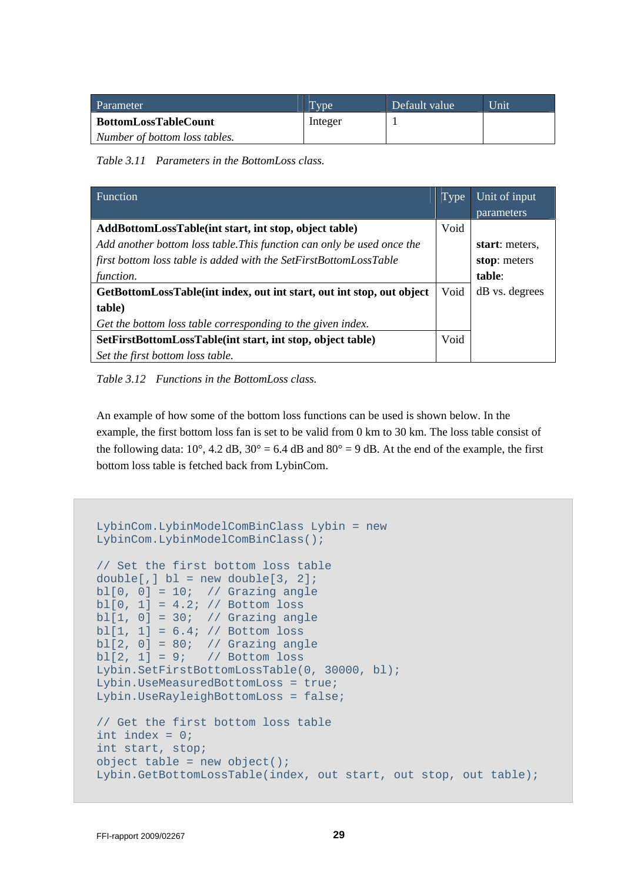| Parameter                     | <b>Type</b> | Default value | Unit |
|-------------------------------|-------------|---------------|------|
| <b>BottomLossTableCount</b>   | Integer     |               |      |
| Number of bottom loss tables. |             |               |      |

*Table 3.11 Parameters in the BottomLoss class.* 

| Function                                                               | Type | Unit of input<br>parameters |
|------------------------------------------------------------------------|------|-----------------------------|
|                                                                        |      |                             |
| AddBottomLossTable(int start, int stop, object table)                  | Void |                             |
| Add another bottom loss table. This function can only be used once the |      | start: meters.              |
| first bottom loss table is added with the SetFirstBottomLossTable      |      | stop: meters                |
| function.                                                              |      | table:                      |
| GetBottomLossTable(int index, out int start, out int stop, out object  | Void | dB vs. degrees              |
| table)                                                                 |      |                             |
| Get the bottom loss table corresponding to the given index.            |      |                             |
| SetFirstBottomLossTable(int start, int stop, object table)             | Void |                             |
| Set the first bottom loss table.                                       |      |                             |

*Table 3.12 Functions in the BottomLoss class.* 

An example of how some of the bottom loss functions can be used is shown below. In the example, the first bottom loss fan is set to be valid from 0 km to 30 km. The loss table consist of the following data:  $10^{\circ}$ , 4.2 dB,  $30^{\circ} = 6.4$  dB and  $80^{\circ} = 9$  dB. At the end of the example, the first bottom loss table is fetched back from LybinCom.

```
LybinCom.LybinModelComBinClass Lybin = new 
LybinCom.LybinModelComBinClass(); 
// Set the first bottom loss table 
double[,] b1 = new double[3, 2];bl[0, 0] = 10; // Grazing angle
bl[0, 1] = 4.2; // Bottom loss
bl[1, 0] = 30; // Grazing angle 
bl[1, 1] = 6.4; // Bottom loss
bl[2, 0] = 80; // Grazing angle
bl[2, 1] = 9; // Bottom loss
Lybin.SetFirstBottomLossTable(0, 30000, bl);
Lybin.UseMeasuredBottomLoss = true; 
Lybin.UseRayleighBottomLoss = false; 
// Get the first bottom loss table 
int index = 0; 
int start, stop; 
object table = new object();
Lybin.GetBottomLossTable(index, out start, out stop, out table);
```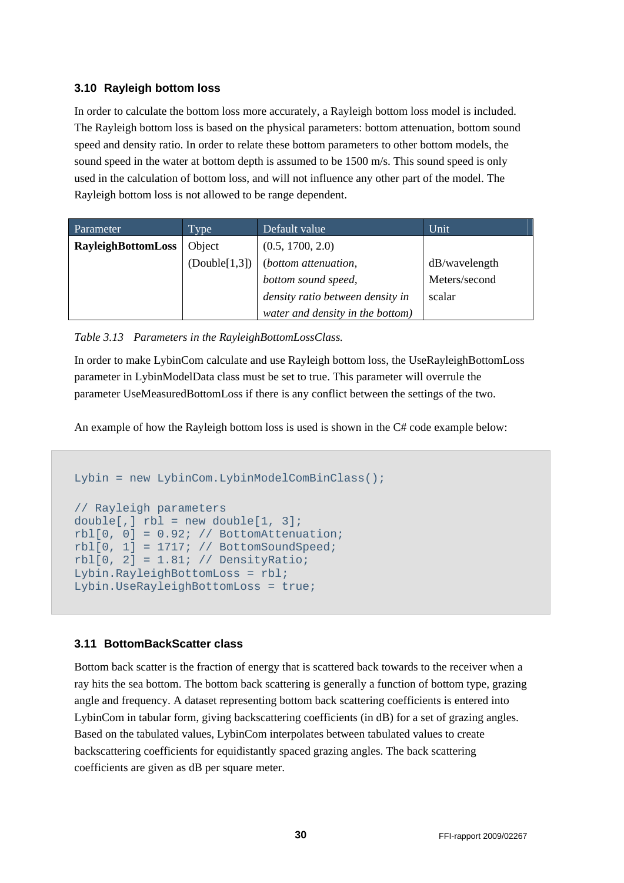#### **3.10 Rayleigh bottom loss**

In order to calculate the bottom loss more accurately, a Rayleigh bottom loss model is included. The Rayleigh bottom loss is based on the physical parameters: bottom attenuation, bottom sound speed and density ratio. In order to relate these bottom parameters to other bottom models, the sound speed in the water at bottom depth is assumed to be 1500 m/s. This sound speed is only used in the calculation of bottom loss, and will not influence any other part of the model. The Rayleigh bottom loss is not allowed to be range dependent.

| Parameter                 | Type          | Default value                    | Unit          |
|---------------------------|---------------|----------------------------------|---------------|
| <b>RayleighBottomLoss</b> | Object        | (0.5, 1700, 2.0)                 |               |
|                           | (Double[1,3]) | (bottom attenuation,             | dB/wavelength |
|                           |               | bottom sound speed,              | Meters/second |
|                           |               | density ratio between density in | scalar        |
|                           |               | water and density in the bottom) |               |

*Table 3.13 Parameters in the RayleighBottomLossClass.* 

In order to make LybinCom calculate and use Rayleigh bottom loss, the UseRayleighBottomLoss parameter in LybinModelData class must be set to true. This parameter will overrule the parameter UseMeasuredBottomLoss if there is any conflict between the settings of the two.

An example of how the Rayleigh bottom loss is used is shown in the C# code example below:

```
Lybin = new LybinCom.LybinModelComBinClass();
// Rayleigh parameters 
double[,] rb1 = new double[1, 3];rb1[0, 0] = 0.92; // BottomAttentionrbl[0, 1] = 1717i // BottomSoundSpeed;
rbl[0, 2] = 1.81; // DensityRatio;Lybin.RayleighBottomLoss = rbl; 
Lybin.UseRayleighBottomLoss = true;
```
### **3.11 BottomBackScatter class**

Bottom back scatter is the fraction of energy that is scattered back towards to the receiver when a ray hits the sea bottom. The bottom back scattering is generally a function of bottom type, grazing angle and frequency. A dataset representing bottom back scattering coefficients is entered into LybinCom in tabular form, giving backscattering coefficients (in dB) for a set of grazing angles. Based on the tabulated values, LybinCom interpolates between tabulated values to create backscattering coefficients for equidistantly spaced grazing angles. The back scattering coefficients are given as dB per square meter.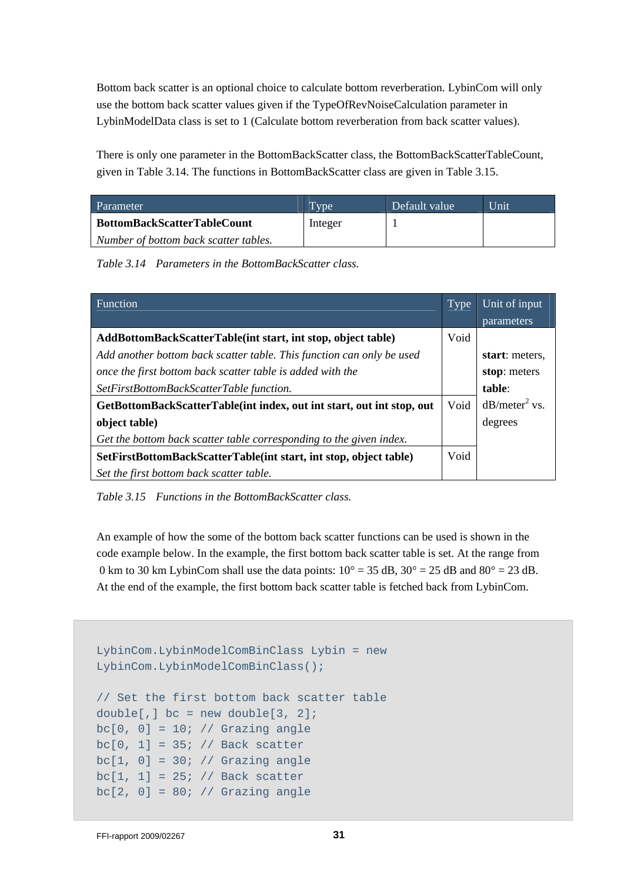Bottom back scatter is an optional choice to calculate bottom reverberation. LybinCom will only use the bottom back scatter values given if the TypeOfRevNoiseCalculation parameter in LybinModelData class is set to 1 (Calculate bottom reverberation from back scatter values).

There is only one parameter in the BottomBackScatter class, the BottomBackScatterTableCount, given in Table 3.14. The functions in BottomBackScatter class are given in Table 3.15.

| Parameter                             | Type <sup>1</sup> | Default value | Unit |
|---------------------------------------|-------------------|---------------|------|
| <b>BottomBackScatterTableCount</b>    | Integer           |               |      |
| Number of bottom back scatter tables. |                   |               |      |

*Table 3.14 Parameters in the BottomBackScatter class.* 

| <b>Function</b>                                                       | Type | Unit of input   |
|-----------------------------------------------------------------------|------|-----------------|
|                                                                       |      | parameters      |
| AddBottomBackScatterTable(int start, int stop, object table)          | Void |                 |
| Add another bottom back scatter table. This function can only be used |      | start: meters.  |
| once the first bottom back scatter table is added with the            |      | stop: meters    |
| SetFirstBottomBackScatterTable function.                              |      | table:          |
| GetBottomBackScatterTable(int index, out int start, out int stop, out | Void | $dB/meter2$ vs. |
| object table)                                                         |      | degrees         |
| Get the bottom back scatter table corresponding to the given index.   |      |                 |
| SetFirstBottomBackScatterTable(int start, int stop, object table)     | Void |                 |
| Set the first bottom back scatter table.                              |      |                 |

*Table 3.15 Functions in the BottomBackScatter class.* 

An example of how the some of the bottom back scatter functions can be used is shown in the code example below. In the example, the first bottom back scatter table is set. At the range from 0 km to 30 km LybinCom shall use the data points:  $10^{\circ} = 35$  dB,  $30^{\circ} = 25$  dB and  $80^{\circ} = 23$  dB. At the end of the example, the first bottom back scatter table is fetched back from LybinCom.

```
LybinCom.LybinModelComBinClass Lybin = new 
LybinCom.LybinModelComBinClass(); 
// Set the first bottom back scatter table 
double[,] bc = new double[3, 2];bc[0, 0] = 10; // Grazing angle
bc[0, 1] = 35; // Back scatter
bc[1, 0] = 30; // Grazing anglebc[1, 1] = 25; // Back scatter
bc[2, 0] = 80; // Grazing angle
```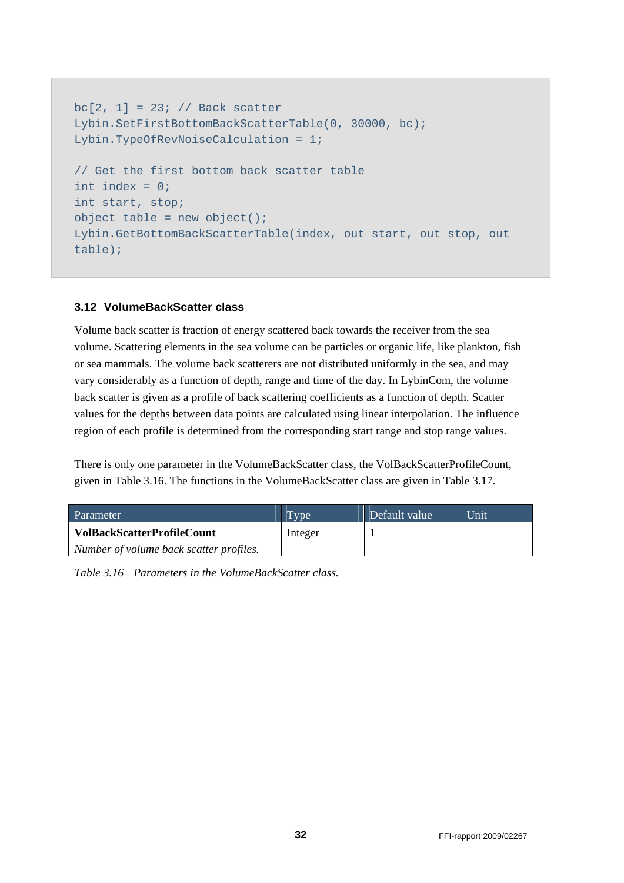```
bc[2, 1] = 23; // Back scatterLybin.SetFirstBottomBackScatterTable(0, 30000, bc); 
Lybin.TypeOfRevNoiseCalculation = 1; 
// Get the first bottom back scatter table 
int index = 0; 
int start, stop; 
object table = new object();
Lybin.GetBottomBackScatterTable(index, out start, out stop, out 
table);
```
#### **3.12 VolumeBackScatter class**

Volume back scatter is fraction of energy scattered back towards the receiver from the sea volume. Scattering elements in the sea volume can be particles or organic life, like plankton, fish or sea mammals. The volume back scatterers are not distributed uniformly in the sea, and may vary considerably as a function of depth, range and time of the day. In LybinCom, the volume back scatter is given as a profile of back scattering coefficients as a function of depth. Scatter values for the depths between data points are calculated using linear interpolation. The influence region of each profile is determined from the corresponding start range and stop range values.

There is only one parameter in the VolumeBackScatter class, the VolBackScatterProfileCount, given in Table 3.16. The functions in the VolumeBackScatter class are given in Table 3.17.

| Parameter                               | Type <sup>.</sup> | Default value | Unit |
|-----------------------------------------|-------------------|---------------|------|
| <b>VolBackScatterProfileCount</b>       | Integer           |               |      |
| Number of volume back scatter profiles. |                   |               |      |

*Table 3.16 Parameters in the VolumeBackScatter class.*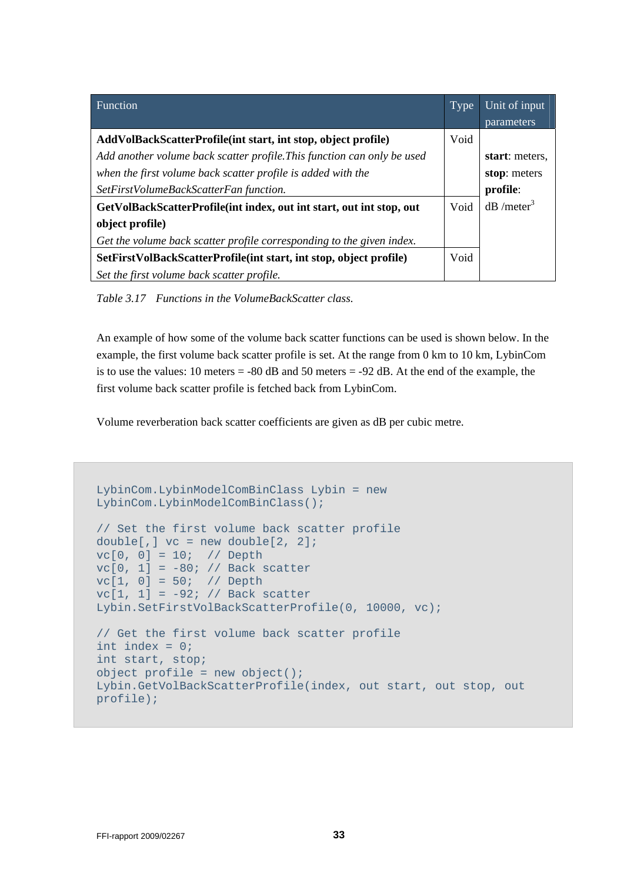| Function                                                                | Type | Unit of input            |
|-------------------------------------------------------------------------|------|--------------------------|
|                                                                         |      | parameters               |
| AddVolBackScatterProfile(int start, int stop, object profile)           | Void |                          |
| Add another volume back scatter profile. This function can only be used |      | start: meters.           |
| when the first volume back scatter profile is added with the            |      | stop: meters             |
| SetFirstVolumeBackScatterFan function.                                  |      | profile:                 |
| GetVolBackScatterProfile(int index, out int start, out int stop, out    | Void | $dB$ /meter <sup>3</sup> |
| object profile)                                                         |      |                          |
| Get the volume back scatter profile corresponding to the given index.   |      |                          |
| SetFirstVolBackScatterProfile (int start, int stop, object profile)     | Void |                          |
| Set the first volume back scatter profile.                              |      |                          |

*Table 3.17 Functions in the VolumeBackScatter class.* 

An example of how some of the volume back scatter functions can be used is shown below. In the example, the first volume back scatter profile is set. At the range from 0 km to 10 km, LybinCom is to use the values: 10 meters = -80 dB and 50 meters = -92 dB. At the end of the example, the first volume back scatter profile is fetched back from LybinCom.

Volume reverberation back scatter coefficients are given as dB per cubic metre.

```
LybinCom.LybinModelComBinClass Lybin = new 
LybinCom.LybinModelComBinClass(); 
// Set the first volume back scatter profile 
double[,] vc = new double[2, 2]; 
vc[0, 0] = 10; // Depthvc[0, 1] = -80; // Back scattervc[1, 0] = 50; // Depth 
vc[1, 1] = -92; // Back scatter 
Lybin.SetFirstVolBackScatterProfile(0, 10000, vc); 
// Get the first volume back scatter profile 
int index = 0; 
int start, stop; 
object profile = new object();
Lybin.GetVolBackScatterProfile(index, out start, out stop, out 
profile);
```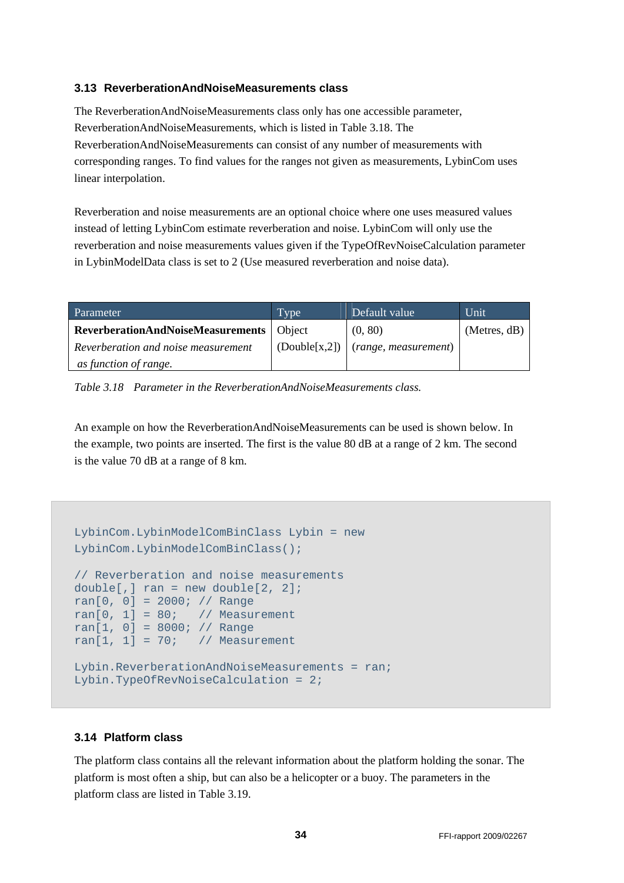#### **3.13 ReverberationAndNoiseMeasurements class**

The ReverberationAndNoiseMeasurements class only has one accessible parameter, ReverberationAndNoiseMeasurements, which is listed in Table 3.18. The ReverberationAndNoiseMeasurements can consist of any number of measurements with corresponding ranges. To find values for the ranges not given as measurements, LybinCom uses linear interpolation.

Reverberation and noise measurements are an optional choice where one uses measured values instead of letting LybinCom estimate reverberation and noise. LybinCom will only use the reverberation and noise measurements values given if the TypeOfRevNoiseCalculation parameter in LybinModelData class is set to 2 (Use measured reverberation and noise data).

| Parameter                                  | Type | Default value                                      | Unit         |
|--------------------------------------------|------|----------------------------------------------------|--------------|
| ReverberationAndNoiseMeasurements   Object |      | (0, 80)                                            | (Meters, dB) |
| Reverberation and noise measurement        |      | $\vert$ (Double[x,2]) $\vert$ (range, measurement) |              |
| as function of range.                      |      |                                                    |              |

*Table 3.18 Parameter in the ReverberationAndNoiseMeasurements class.* 

An example on how the ReverberationAndNoiseMeasurements can be used is shown below. In the example, two points are inserted. The first is the value 80 dB at a range of 2 km. The second is the value 70 dB at a range of 8 km.

```
LybinCom.LybinModelComBinClass Lybin = new 
LybinCom.LybinModelComBinClass(); 
// Reverberation and noise measurements 
double[,] ran = new double[2, 2];
ran[0, 0] = 2000; // Range 
ran[0, 1] = 80; // Measurement
ran[1, 0] = 8000; // Range
ran[1, 1] = 70; // Measurement
Lybin.ReverberationAndNoiseMeasurements = ran; 
Lybin.TypeOfRevNoiseCalculation = 2;
```
### **3.14 Platform class**

The platform class contains all the relevant information about the platform holding the sonar. The platform is most often a ship, but can also be a helicopter or a buoy. The parameters in the platform class are listed in Table 3.19.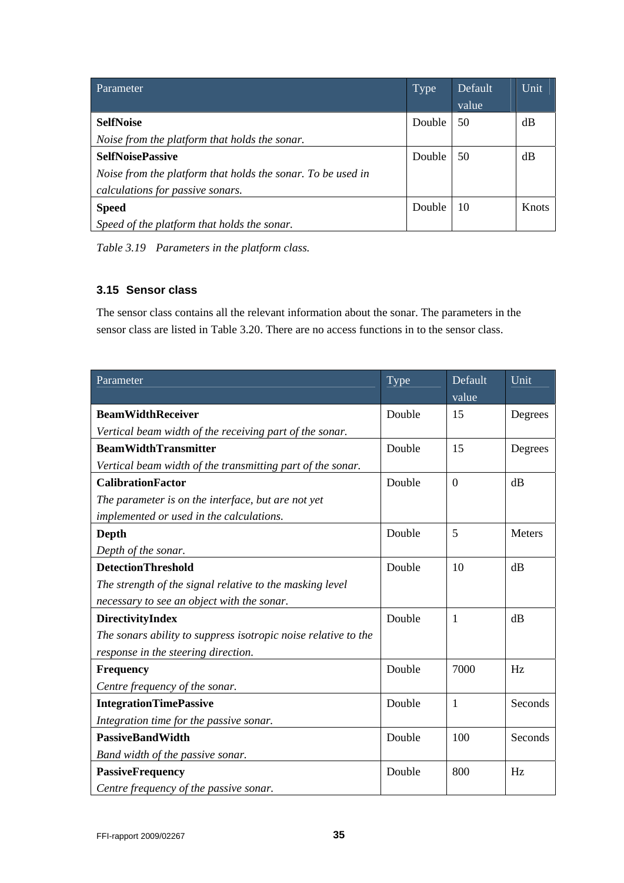| Parameter                                                   | <b>Type</b> | Default | Unit  |
|-------------------------------------------------------------|-------------|---------|-------|
|                                                             |             | value   |       |
| <b>SelfNoise</b>                                            | Double      | 50      | dB    |
| Noise from the platform that holds the sonar.               |             |         |       |
| <b>SelfNoisePassive</b>                                     | Double      | 50      | dB    |
| Noise from the platform that holds the sonar. To be used in |             |         |       |
| calculations for passive sonars.                            |             |         |       |
| <b>Speed</b>                                                | Double      | 10      | Knots |
| Speed of the platform that holds the sonar.                 |             |         |       |

*Table 3.19 Parameters in the platform class.* 

### **3.15 Sensor class**

The sensor class contains all the relevant information about the sonar. The parameters in the sensor class are listed in Table 3.20. There are no access functions in to the sensor class.

| Parameter                                                      | Type   | Default      | Unit    |
|----------------------------------------------------------------|--------|--------------|---------|
|                                                                |        | value        |         |
| <b>BeamWidthReceiver</b>                                       | Double | 15           | Degrees |
| Vertical beam width of the receiving part of the sonar.        |        |              |         |
| <b>BeamWidthTransmitter</b>                                    | Double | 15           | Degrees |
| Vertical beam width of the transmitting part of the sonar.     |        |              |         |
| <b>CalibrationFactor</b>                                       | Double | $\theta$     | dB      |
| The parameter is on the interface, but are not yet             |        |              |         |
| implemented or used in the calculations.                       |        |              |         |
| Depth                                                          | Double | 5            | Meters  |
| Depth of the sonar.                                            |        |              |         |
| <b>DetectionThreshold</b>                                      | Double | 10           | dB      |
| The strength of the signal relative to the masking level       |        |              |         |
| necessary to see an object with the sonar.                     |        |              |         |
| <b>DirectivityIndex</b>                                        | Double | $\mathbf{1}$ | dB      |
| The sonars ability to suppress isotropic noise relative to the |        |              |         |
| response in the steering direction.                            |        |              |         |
| <b>Frequency</b>                                               | Double | 7000         | Hz      |
| Centre frequency of the sonar.                                 |        |              |         |
| <b>IntegrationTimePassive</b>                                  | Double | $\mathbf{1}$ | Seconds |
| Integration time for the passive sonar.                        |        |              |         |
| <b>PassiveBandWidth</b>                                        | Double | 100          | Seconds |
| Band width of the passive sonar.                               |        |              |         |
| <b>PassiveFrequency</b>                                        | Double | 800          | Hz      |
| Centre frequency of the passive sonar.                         |        |              |         |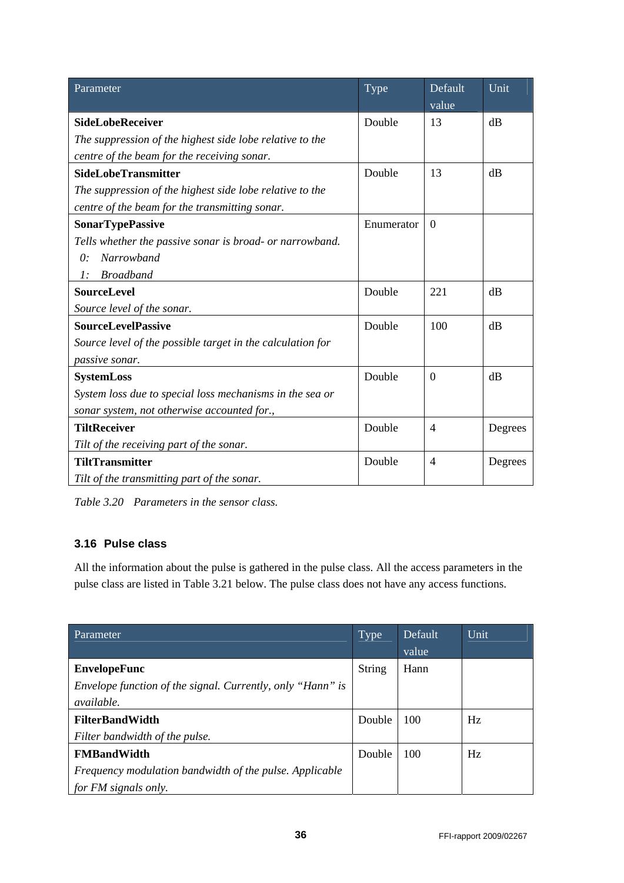| Parameter                                                  | Type       | Default        | Unit    |
|------------------------------------------------------------|------------|----------------|---------|
|                                                            |            | value          |         |
| <b>SideLobeReceiver</b>                                    | Double     | 13             | dB      |
| The suppression of the highest side lobe relative to the   |            |                |         |
| centre of the beam for the receiving sonar.                |            |                |         |
| <b>SideLobeTransmitter</b>                                 | Double     | 13             | dB      |
| The suppression of the highest side lobe relative to the   |            |                |         |
| centre of the beam for the transmitting sonar.             |            |                |         |
| <b>SonarTypePassive</b>                                    | Enumerator | $\Omega$       |         |
| Tells whether the passive sonar is broad- or narrowband.   |            |                |         |
| Narrowband<br>$\theta$ :                                   |            |                |         |
| <b>Broadband</b><br>$\mathfrak{I}$ :                       |            |                |         |
| <b>SourceLevel</b>                                         | Double     | 221            | dB      |
| Source level of the sonar.                                 |            |                |         |
| <b>SourceLevelPassive</b>                                  | Double     | 100            | dB      |
| Source level of the possible target in the calculation for |            |                |         |
| passive sonar.                                             |            |                |         |
| <b>SystemLoss</b>                                          | Double     | $\theta$       | dB      |
| System loss due to special loss mechanisms in the sea or   |            |                |         |
| sonar system, not otherwise accounted for.,                |            |                |         |
| <b>TiltReceiver</b>                                        | Double     | $\overline{4}$ | Degrees |
| Tilt of the receiving part of the sonar.                   |            |                |         |
| <b>TiltTransmitter</b>                                     | Double     | 4              | Degrees |
| Tilt of the transmitting part of the sonar.                |            |                |         |

*Table 3.20 Parameters in the sensor class.* 

## **3.16 Pulse class**

All the information about the pulse is gathered in the pulse class. All the access parameters in the pulse class are listed in Table 3.21 below. The pulse class does not have any access functions.

| Parameter                                                  | Type          | Default | Unit |
|------------------------------------------------------------|---------------|---------|------|
|                                                            |               | value   |      |
| <b>EnvelopeFunc</b>                                        | <b>String</b> | Hann    |      |
| Envelope function of the signal. Currently, only "Hann" is |               |         |      |
| <i>available.</i>                                          |               |         |      |
| <b>FilterBandWidth</b>                                     | Double        | 100     | Hz   |
| Filter bandwidth of the pulse.                             |               |         |      |
| <b>FMBandWidth</b>                                         | Double        | 100     | Hz   |
| Frequency modulation bandwidth of the pulse. Applicable    |               |         |      |
| for FM signals only.                                       |               |         |      |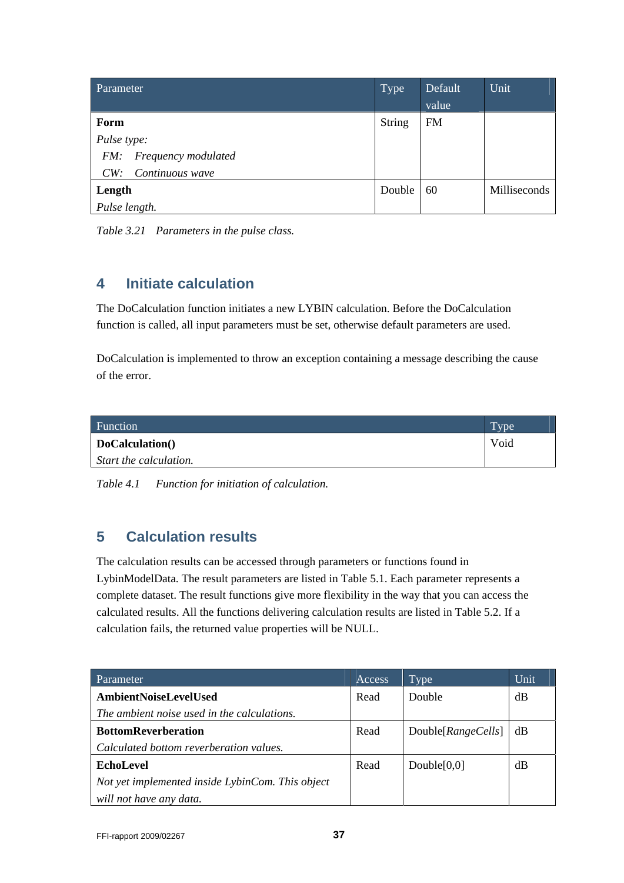| Parameter               | Type          | Default   | Unit         |
|-------------------------|---------------|-----------|--------------|
|                         |               | value     |              |
| Form                    | <b>String</b> | <b>FM</b> |              |
| Pulse type:             |               |           |              |
| FM: Frequency modulated |               |           |              |
| Continuous wave<br>CW:  |               |           |              |
| Length                  | Double        | 60        | Milliseconds |
| Pulse length.           |               |           |              |

| Table 3.21 Parameters in the pulse class. |  |  |
|-------------------------------------------|--|--|
|                                           |  |  |

## **4 Initiate calculation**

The DoCalculation function initiates a new LYBIN calculation. Before the DoCalculation function is called, all input parameters must be set, otherwise default parameters are used.

DoCalculation is implemented to throw an exception containing a message describing the cause of the error.

| <b>Function</b>        | <b>Type</b> |
|------------------------|-------------|
| DoCalculation()        | Void        |
| Start the calculation. |             |

*Table 4.1 Function for initiation of calculation.* 

## **5 Calculation results**

The calculation results can be accessed through parameters or functions found in LybinModelData. The result parameters are listed in Table 5.1. Each parameter represents a complete dataset. The result functions give more flexibility in the way that you can access the calculated results. All the functions delivering calculation results are listed in Table 5.2. If a calculation fails, the returned value properties will be NULL.

| Parameter                                        | Access | Type               | Unit |
|--------------------------------------------------|--------|--------------------|------|
| <b>AmbientNoiseLevelUsed</b>                     | Read   | Double             | dB   |
| The ambient noise used in the calculations.      |        |                    |      |
| <b>BottomReverberation</b>                       | Read   | Double[RangeCells] | dB   |
| Calculated bottom reverberation values.          |        |                    |      |
| <b>EchoLevel</b>                                 | Read   | Double $[0,0]$     | dB   |
| Not yet implemented inside LybinCom. This object |        |                    |      |
| will not have any data.                          |        |                    |      |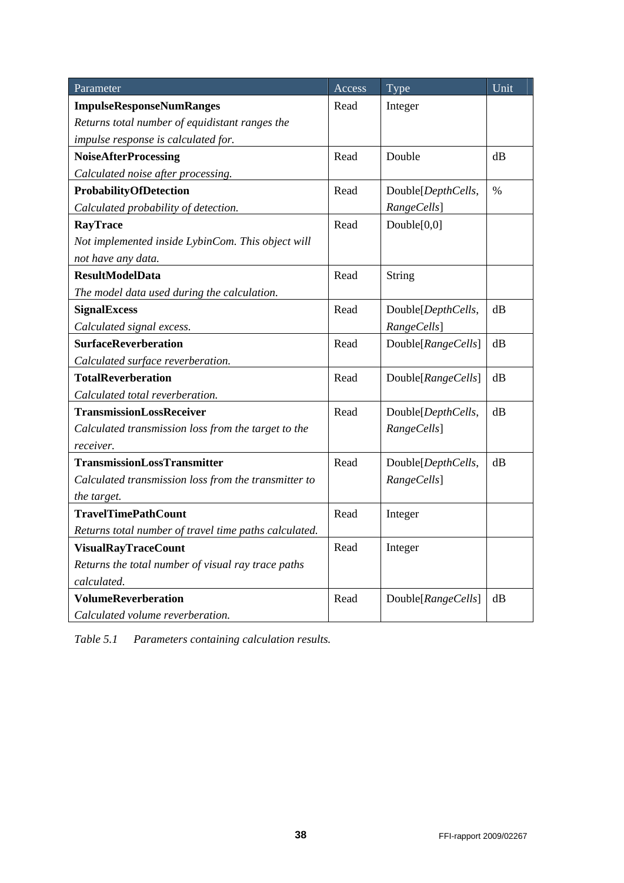| Parameter                                             | Access | Type               | Unit     |
|-------------------------------------------------------|--------|--------------------|----------|
| <b>ImpulseResponseNumRanges</b>                       | Read   | Integer            |          |
| Returns total number of equidistant ranges the        |        |                    |          |
| impulse response is calculated for.                   |        |                    |          |
| <b>NoiseAfterProcessing</b>                           | Read   | Double             | dB       |
| Calculated noise after processing.                    |        |                    |          |
| ProbabilityOfDetection                                | Read   | Double[DepthCells, | $\%$     |
| Calculated probability of detection.                  |        | RangeCells]        |          |
| <b>RayTrace</b>                                       | Read   | Double[0,0]        |          |
| Not implemented inside LybinCom. This object will     |        |                    |          |
| not have any data.                                    |        |                    |          |
| <b>ResultModelData</b>                                | Read   | <b>String</b>      |          |
| The model data used during the calculation.           |        |                    |          |
| <b>SignalExcess</b>                                   | Read   | Double[DepthCells, | dB       |
| Calculated signal excess.                             |        | RangeCells]        |          |
| <b>SurfaceReverberation</b>                           | Read   | Double[RangeCells] | dB       |
| Calculated surface reverberation.                     |        |                    |          |
| <b>TotalReverberation</b>                             | Read   | Double[RangeCells] | dB       |
| Calculated total reverberation.                       |        |                    |          |
| <b>TransmissionLossReceiver</b>                       | Read   | Double[DepthCells, | $\rm dB$ |
| Calculated transmission loss from the target to the   |        | RangeCells]        |          |
| receiver.                                             |        |                    |          |
| <b>TransmissionLossTransmitter</b>                    | Read   | Double[DepthCells, | dB       |
| Calculated transmission loss from the transmitter to  |        | RangeCells]        |          |
| the target.                                           |        |                    |          |
| <b>TravelTimePathCount</b>                            | Read   | Integer            |          |
| Returns total number of travel time paths calculated. |        |                    |          |
| <b>VisualRayTraceCount</b>                            | Read   | Integer            |          |
| Returns the total number of visual ray trace paths    |        |                    |          |
| calculated.                                           |        |                    |          |
| <b>VolumeReverberation</b>                            | Read   | Double[RangeCells] | dB       |
| Calculated volume reverberation.                      |        |                    |          |

*Table 5.1 Parameters containing calculation results.*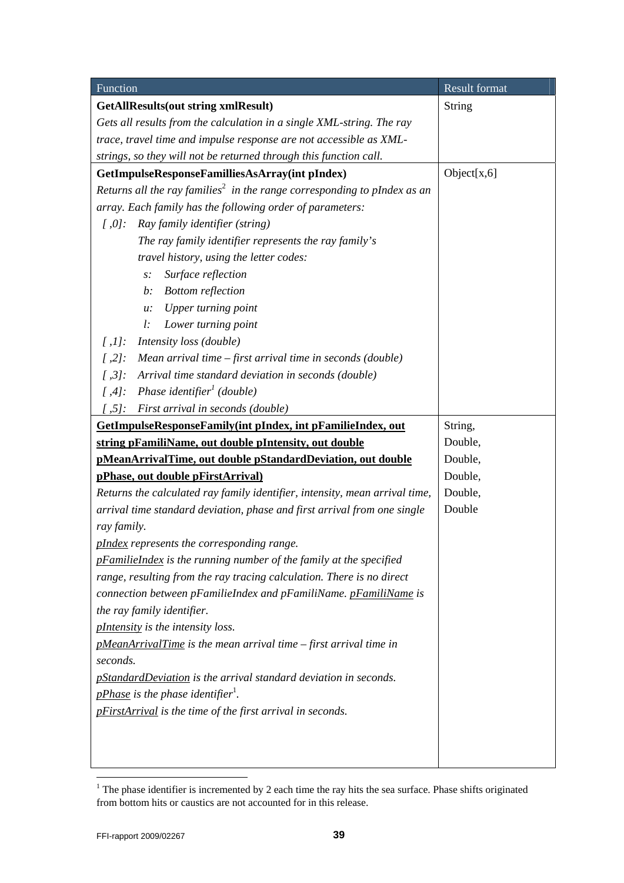| Function                                                                               | <b>Result format</b> |  |
|----------------------------------------------------------------------------------------|----------------------|--|
| <b>GetAllResults(out string xmlResult)</b>                                             | String               |  |
| Gets all results from the calculation in a single XML-string. The ray                  |                      |  |
| trace, travel time and impulse response are not accessible as XML-                     |                      |  |
| strings, so they will not be returned through this function call.                      |                      |  |
| GetImpulseResponseFamilliesAsArray(int pIndex)                                         | Object[x,6]          |  |
| Returns all the ray families <sup>2</sup> in the range corresponding to pIndex as an   |                      |  |
| array. Each family has the following order of parameters:                              |                      |  |
| Ray family identifier (string)<br>$\int$ ,0]:                                          |                      |  |
| The ray family identifier represents the ray family's                                  |                      |  |
| travel history, using the letter codes:                                                |                      |  |
| Surface reflection<br>$s$ :                                                            |                      |  |
| <b>Bottom</b> reflection<br>$b$ :                                                      |                      |  |
| Upper turning point<br>u:                                                              |                      |  |
| Lower turning point<br>l:                                                              |                      |  |
| $[$ , $1$ ]:<br>Intensity loss (double)                                                |                      |  |
| $[$ ,2]:<br>Mean arrival time $-$ first arrival time in seconds (double)               |                      |  |
| $[$ ,3]:<br>Arrival time standard deviation in seconds (double)                        |                      |  |
| Phase identifier <sup>1</sup> (double)<br>$[$ ,4]:                                     |                      |  |
| $[$ ,5]:<br>First arrival in seconds (double)                                          |                      |  |
| GetImpulseResponseFamily(int pIndex, int pFamilieIndex, out                            | String,              |  |
| string pFamiliName, out double pIntensity, out double                                  | Double,              |  |
| pMeanArrivalTime, out double pStandardDeviation, out double                            | Double,              |  |
| pPhase, out double pFirstArrival)                                                      | Double,              |  |
| Double,<br>Returns the calculated ray family identifier, intensity, mean arrival time, |                      |  |
| arrival time standard deviation, phase and first arrival from one single<br>Double     |                      |  |
| ray family.                                                                            |                      |  |
| pIndex represents the corresponding range.                                             |                      |  |
| <i>pFamilieIndex</i> is the running number of the family at the specified              |                      |  |
| range, resulting from the ray tracing calculation. There is no direct                  |                      |  |
| connection between pFamilieIndex and pFamiliName. pFamiliName is                       |                      |  |
| the ray family identifier.                                                             |                      |  |
| pIntensity is the intensity loss.                                                      |                      |  |
| pMeanArrivalTime is the mean arrival time – first arrival time in                      |                      |  |
| seconds.                                                                               |                      |  |
| <i>pStandardDeviation</i> is the arrival standard deviation in seconds.                |                      |  |
| <i>pPhase</i> is the phase identifier <sup>1</sup> .                                   |                      |  |
| pFirstArrival is the time of the first arrival in seconds.                             |                      |  |
|                                                                                        |                      |  |
|                                                                                        |                      |  |
|                                                                                        |                      |  |

<sup>&</sup>lt;sup>1</sup> The phase identifier is incremented by 2 each time the ray hits the sea surface. Phase shifts originated from bottom hits or caustics are not accounted for in this release.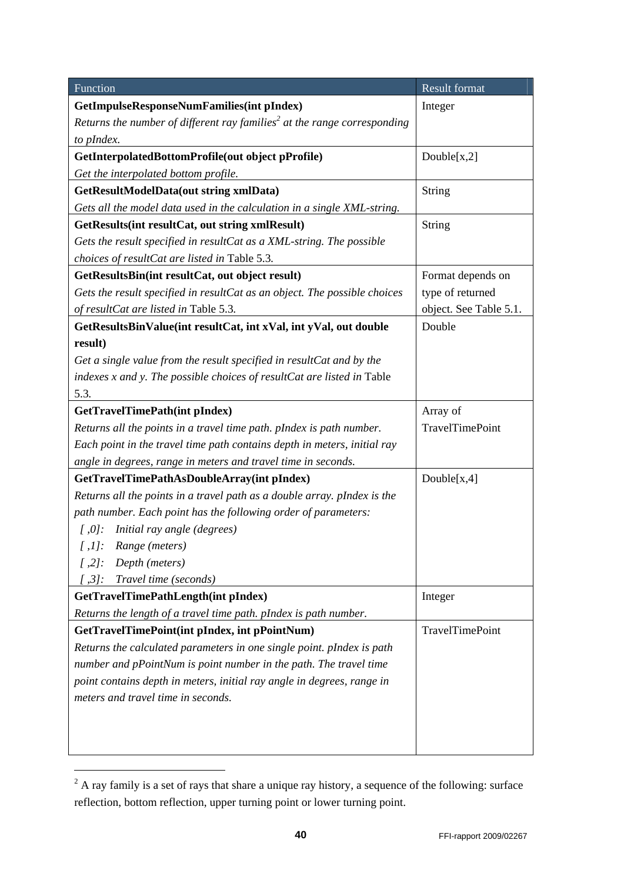| Function                                                                             | Result format          |  |
|--------------------------------------------------------------------------------------|------------------------|--|
| GetImpulseResponseNumFamilies(int pIndex)                                            | Integer                |  |
| Returns the number of different ray families <sup>2</sup> at the range corresponding |                        |  |
| to pIndex.                                                                           |                        |  |
| GetInterpolatedBottomProfile(out object pProfile)                                    | Double[x,2]            |  |
| Get the interpolated bottom profile.                                                 |                        |  |
| <b>GetResultModelData(out string xmlData)</b>                                        | String                 |  |
| Gets all the model data used in the calculation in a single XML-string.              |                        |  |
| GetResults(int resultCat, out string xmlResult)                                      | String                 |  |
| Gets the result specified in resultCat as a XML-string. The possible                 |                        |  |
| choices of resultCat are listed in Table 5.3.                                        |                        |  |
| GetResultsBin(int resultCat, out object result)                                      | Format depends on      |  |
| Gets the result specified in resultCat as an object. The possible choices            | type of returned       |  |
| of resultCat are listed in Table 5.3.                                                | object. See Table 5.1. |  |
| GetResultsBinValue(int resultCat, int xVal, int yVal, out double                     | Double                 |  |
| result)                                                                              |                        |  |
| Get a single value from the result specified in resultCat and by the                 |                        |  |
| indexes x and y. The possible choices of resultCat are listed in Table               |                        |  |
| 5.3.                                                                                 |                        |  |
| GetTravelTimePath(int pIndex)                                                        | Array of               |  |
| Returns all the points in a travel time path. pIndex is path number.                 | TravelTimePoint        |  |
| Each point in the travel time path contains depth in meters, initial ray             |                        |  |
| angle in degrees, range in meters and travel time in seconds.                        |                        |  |
| GetTravelTimePathAsDoubleArray(int pIndex)                                           | Double $[x,4]$         |  |
| Returns all the points in a travel path as a double array. pIndex is the             |                        |  |
| path number. Each point has the following order of parameters:                       |                        |  |
| Initial ray angle (degrees)<br>$\int$ ,0]:                                           |                        |  |
| $[$ ,1]: Range (meters)                                                              |                        |  |
| Depth (meters)<br>$[$ ,2]:                                                           |                        |  |
| [ ,3]:<br>Travel time (seconds)                                                      |                        |  |
| GetTravelTimePathLength(int pIndex)                                                  | Integer                |  |
| Returns the length of a travel time path. pIndex is path number.                     |                        |  |
| GetTravelTimePoint(int pIndex, int pPointNum)                                        | <b>TravelTimePoint</b> |  |
| Returns the calculated parameters in one single point. pIndex is path                |                        |  |
| number and pPointNum is point number in the path. The travel time                    |                        |  |
| point contains depth in meters, initial ray angle in degrees, range in               |                        |  |
| meters and travel time in seconds.                                                   |                        |  |
|                                                                                      |                        |  |
|                                                                                      |                        |  |
|                                                                                      |                        |  |

 $2$  A ray family is a set of rays that share a unique ray history, a sequence of the following: surface reflection, bottom reflection, upper turning point or lower turning point.

-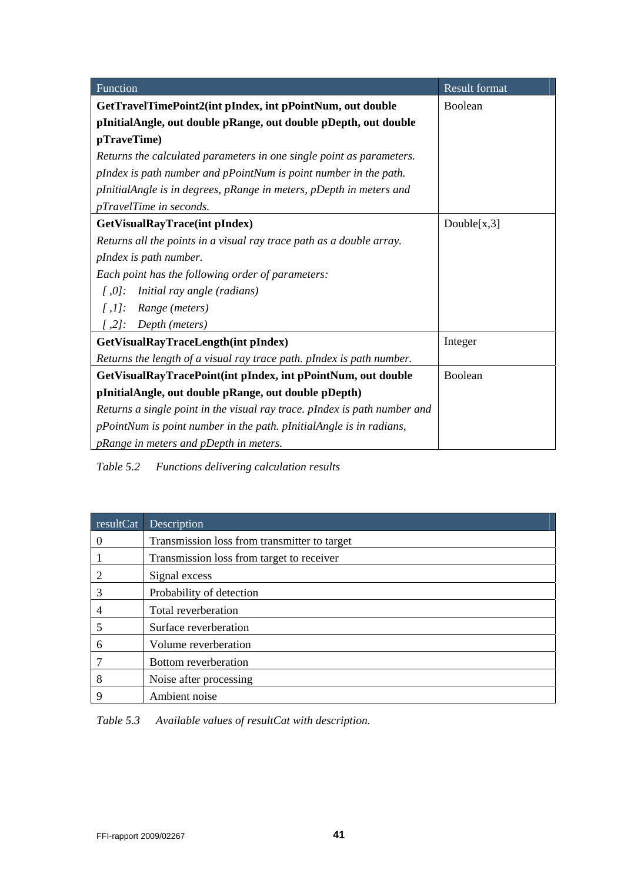| Function                                                                  | <b>Result format</b> |
|---------------------------------------------------------------------------|----------------------|
| GetTravelTimePoint2(int pIndex, int pPointNum, out double                 | Boolean              |
| pInitialAngle, out double pRange, out double pDepth, out double           |                      |
| pTraveTime)                                                               |                      |
| Returns the calculated parameters in one single point as parameters.      |                      |
| pIndex is path number and pPointNum is point number in the path.          |                      |
| pInitialAngle is in degrees, pRange in meters, pDepth in meters and       |                      |
| pTravelTime in seconds.                                                   |                      |
| GetVisualRayTrace(int pIndex)                                             | Double $[x,3]$       |
| Returns all the points in a visual ray trace path as a double array.      |                      |
| pIndex is path number.                                                    |                      |
| Each point has the following order of parameters:                         |                      |
| Initial ray angle (radians)<br>$\int$ ,0]:                                |                      |
| $[$ ,1]: Range (meters)                                                   |                      |
| $[$ ,2]: Depth (meters)                                                   |                      |
| GetVisualRayTraceLength(int pIndex)                                       | Integer              |
| Returns the length of a visual ray trace path. pIndex is path number.     |                      |
| GetVisualRayTracePoint(int pIndex, int pPointNum, out double              | Boolean              |
| pInitialAngle, out double pRange, out double pDepth)                      |                      |
| Returns a single point in the visual ray trace. pIndex is path number and |                      |
| pPointNum is point number in the path. pInitialAngle is in radians,       |                      |
| pRange in meters and pDepth in meters.                                    |                      |

*Table 5.2 Functions delivering calculation results* 

| resultCat | Description                                  |
|-----------|----------------------------------------------|
| $\theta$  | Transmission loss from transmitter to target |
|           | Transmission loss from target to receiver    |
|           | Signal excess                                |
| 3         | Probability of detection                     |
|           | Total reverberation                          |
| 5         | Surface reverberation                        |
| 6         | Volume reverberation                         |
|           | Bottom reverberation                         |
| 8         | Noise after processing                       |
| 9         | Ambient noise                                |

*Table 5.3 Available values of resultCat with description.*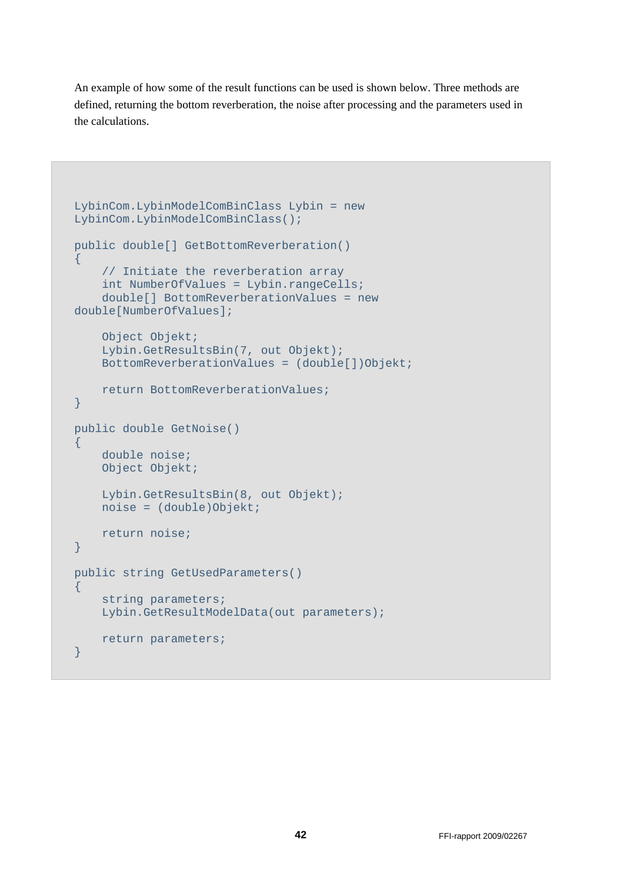An example of how some of the result functions can be used is shown below. Three methods are defined, returning the bottom reverberation, the noise after processing and the parameters used in the calculations.

```
LybinCom.LybinModelComBinClass Lybin = new 
LybinCom.LybinModelComBinClass(); 
public double[] GetBottomReverberation() 
\left\{ \right. // Initiate the reverberation array 
     int NumberOfValues = Lybin.rangeCells; 
     double[] BottomReverberationValues = new 
double[NumberOfValues]; 
     Object Objekt; 
     Lybin.GetResultsBin(7, out Objekt); 
    BottomReverberationValues = (double[])Objekt;
     return BottomReverberationValues; 
} 
public double GetNoise() 
\left\{ \right. double noise; 
     Object Objekt; 
     Lybin.GetResultsBin(8, out Objekt); 
     noise = (double)Objekt; 
     return noise; 
} 
public string GetUsedParameters() 
\{ string parameters; 
     Lybin.GetResultModelData(out parameters); 
     return parameters; 
}
```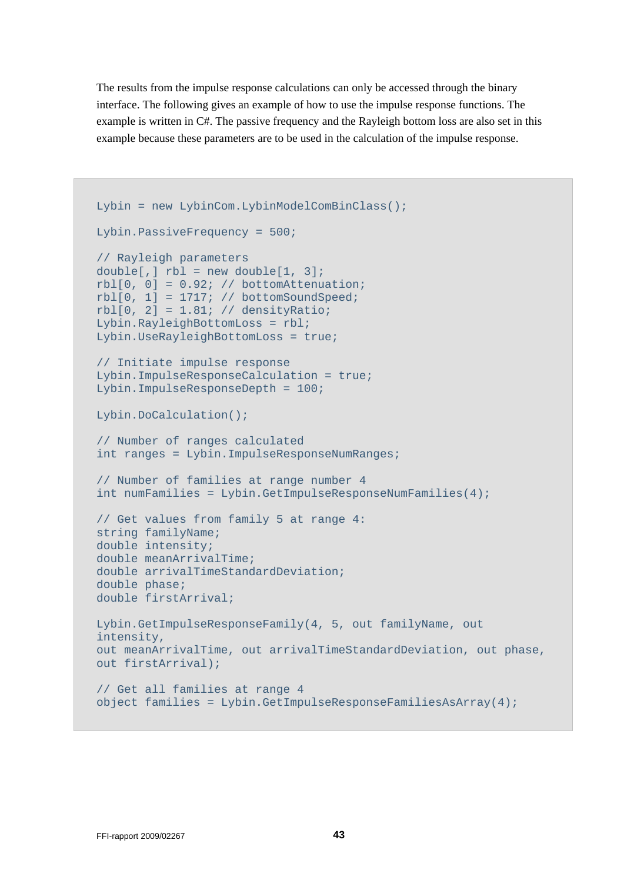The results from the impulse response calculations can only be accessed through the binary interface. The following gives an example of how to use the impulse response functions. The example is written in C#. The passive frequency and the Rayleigh bottom loss are also set in this example because these parameters are to be used in the calculation of the impulse response.

```
Lybin = new LybinCom.LybinModelComBinClass();
Lybin.PassiveFrequency = 500; 
// Rayleigh parameters 
double[,] rb1 = new double[1, 3];rb1[0, 0] = 0.92; // bottomAttentionrbl[0, 1] = 1717i // bottomSoundSpeed;
rbl[0, 2] = 1.81; // densityRatio;Lybin.RayleighBottomLoss = rbl; 
Lybin.UseRayleighBottomLoss = true; 
// Initiate impulse response 
Lybin.ImpulseResponseCalculation = true; 
Lybin.ImpulseResponseDepth = 100; 
Lybin.DoCalculation(); 
// Number of ranges calculated 
int ranges = Lybin.ImpulseResponseNumRanges; 
// Number of families at range number 4 
int numFamilies = Lybin.GetImpulseResponseNumFamilies(4); 
// Get values from family 5 at range 4: 
string familyName; 
double intensity; 
double meanArrivalTime; 
double arrivalTimeStandardDeviation; 
double phase; 
double firstArrival; 
Lybin.GetImpulseResponseFamily(4, 5, out familyName, out 
intensity, 
out meanArrivalTime, out arrivalTimeStandardDeviation, out phase, 
out firstArrival); 
// Get all families at range 4 
object families = Lybin.GetImpulseResponseFamiliesAsArray(4);
```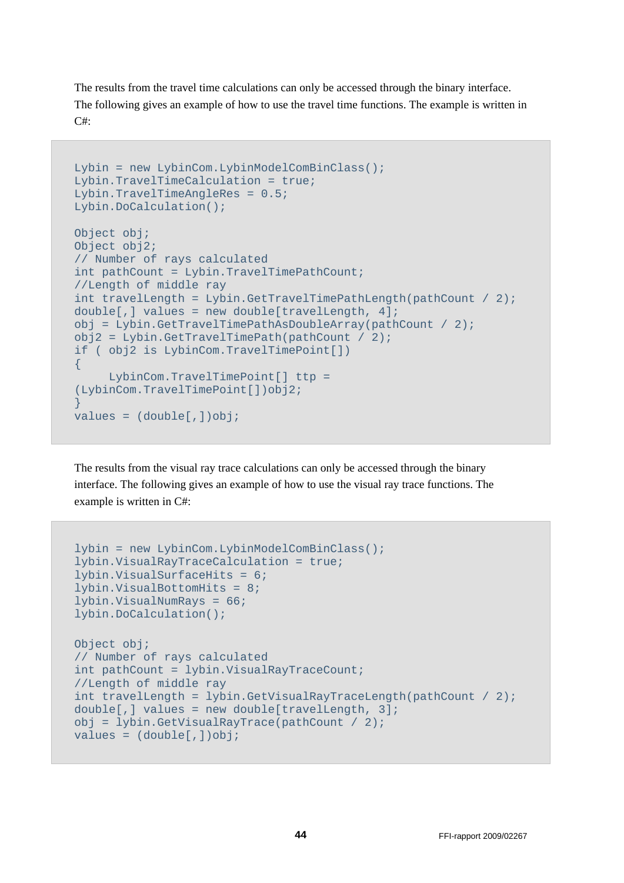The results from the travel time calculations can only be accessed through the binary interface. The following gives an example of how to use the travel time functions. The example is written in  $C#$ 

```
Lybin = new LybinCom.LybinModelComBinClass();
Lybin.TravelTimeCalculation = true; 
Lybin.TravelTimeAngleRes = 0.5; 
Lybin.DoCalculation(); 
Object obj; 
Object obj2; 
// Number of rays calculated 
int pathCount = Lybin.TravelTimePathCount; 
//Length of middle ray 
int travelLength = Lybin.GetTravelTimePathLength(pathCount / 2); 
double[,] values = new double[travelLength, 4];
obj = Lybin.GetTravelTimePathAsDoubleArray(pathCount / 2); 
obj2 = Lybin.GetTravelTimePath(pathCount / 2);if ( obj2 is LybinCom.TravelTimePoint[]) 
{ 
      LybinCom.TravelTimePoint[] ttp = 
(LybinCom.TravelTimePoint[])obj2; 
} 
values = (double[,])obj;
```
The results from the visual ray trace calculations can only be accessed through the binary interface. The following gives an example of how to use the visual ray trace functions. The example is written in C#:

```
lybin = new LybinCom.LybinModelComBinClass(); 
lybin.VisualRayTraceCalculation = true; 
lybin.VisualSurfaceHits = 6; 
lybin.VisualBottomHits = 8; 
lybin.VisualNumRays = 66; 
lybin.DoCalculation(); 
Object obj;
// Number of rays calculated 
int pathCount = lybin.VisualRayTraceCount; 
//Length of middle ray 
int travelLength = lybin.GetVisualRayTraceLength(pathCount / 2); 
double[,] values = new double[travelLength, 3];
obj = lybin.GetVisualRayTrace(pathCount / 2); 
values = (double[,])obj;
```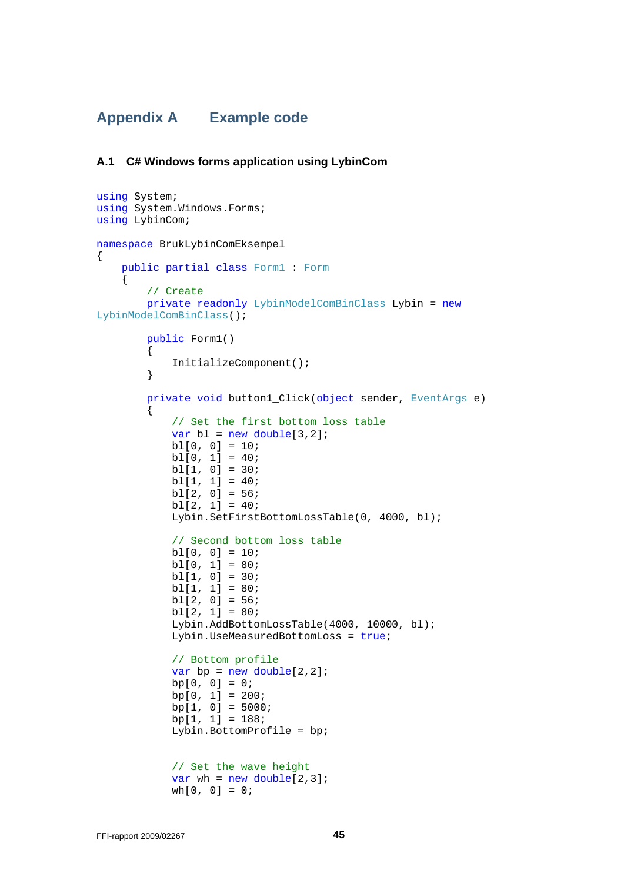## **Appendix A Example code**

#### **A.1 C# Windows forms application using LybinCom**

```
using System; 
using System.Windows.Forms; 
using LybinCom; 
namespace BrukLybinComEksempel 
{ 
     public partial class Form1 : Form 
     { 
         // Create 
         private readonly LybinModelComBinClass Lybin = new
LybinModelComBinClass(); 
         public Form1() 
         { 
             InitializeComponent(); 
         } 
         private void button1_Click(object sender, EventArgs e) 
\{ // Set the first bottom loss table 
            var bl = new double[3,2]; bl[0, 0] = 10; 
            b1[0, 1] = 40; bl[1, 0] = 30; 
            b1[1, 1] = 40;b1[2, 0] = 56;bl[2, 1] = 40;
             Lybin.SetFirstBottomLossTable(0, 4000, bl); 
             // Second bottom loss table 
            b1[0, 0] = 10; bl[0, 1] = 80; 
             bl[1, 0] = 30; 
             bl[1, 1] = 80; 
             bl[2, 0] = 56; 
            b1[2, 1] = 80; Lybin.AddBottomLossTable(4000, 10000, bl); 
             Lybin.UseMeasuredBottomLoss = true; 
             // Bottom profile 
            var bp = new double[2,2];bp[0, 0] = 0;bp[0, 1] = 200;
            bp[1, 0] = 5000;bp[1, 1] = 188;
             Lybin.BottomProfile = bp; 
             // Set the wave height 
            var wh = new double[2,3];
            wh[0, 0] = 0;
```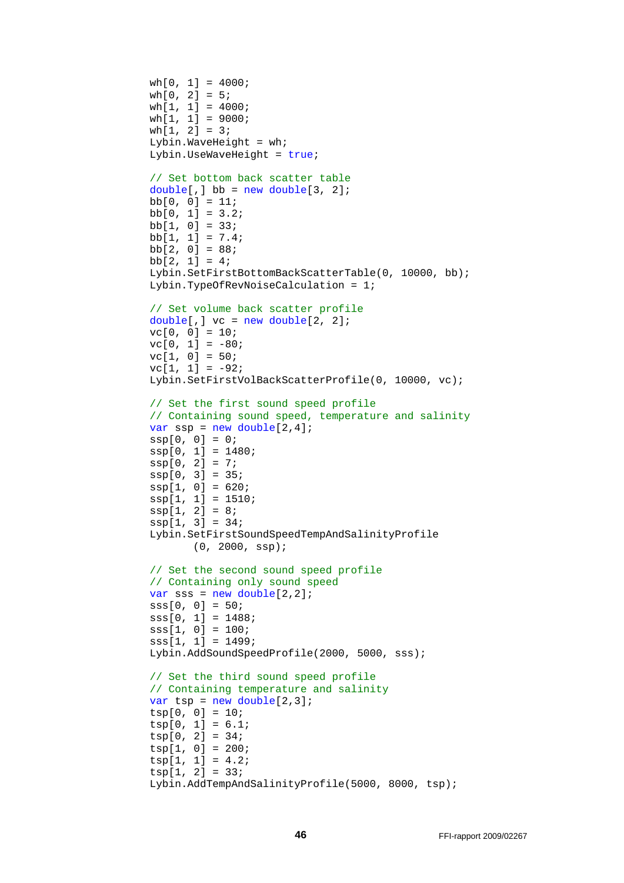```
wh[0, 1] = 4000; wh[0, 2] = 5; 
 wh[1, 1] = 4000; 
 wh[1, 1] = 9000; 
 wh[1, 2] = 3; 
Lybin.WaveHeight = wh;
 Lybin.UseWaveHeight = true; 
 // Set bottom back scatter table 
double[,] bb = new double[3, 2];
bb[0, 0] = 11;bb[0, 1] = 3.2;
bb[1, 0] = 33;bb[1, 1] = 7.4;bb[2, 0] = 88;bb[2, 1] = 4; Lybin.SetFirstBottomBackScatterTable(0, 10000, bb); 
 Lybin.TypeOfRevNoiseCalculation = 1; 
 // Set volume back scatter profile 
double[,] vc = new double[2, 2];
vc[0, 0] = 10;vc[0, 1] = -80;vc[1, 0] = 50;vc[1, 1] = -92; Lybin.SetFirstVolBackScatterProfile(0, 10000, vc); 
 // Set the first sound speed profile 
 // Containing sound speed, temperature and salinity 
var ssp = new double[2, 4];
ssp[0, 0] = 0; ssp[0, 1] = 1480; 
ssp[0, 2] = 7;ssp[0, 3] = 35;ssp[1, 0] = 620;ssp[1, 1] = 1510;
ssp[1, 2] = 8;ssp[1, 3] = 34; Lybin.SetFirstSoundSpeedTempAndSalinityProfile 
       (0, 2000, ssp); 
 // Set the second sound speed profile 
 // Containing only sound speed 
var sss = new double[2,2];sss[0, 0] = 50;sss[0, 1] = 1488;
 sss[1, 0] = 100; 
 sss[1, 1] = 1499; 
 Lybin.AddSoundSpeedProfile(2000, 5000, sss); 
 // Set the third sound speed profile 
 // Containing temperature and salinity 
var tsp = new double[2,3];
 tsp[0, 0] = 10; 
 tsp[0, 1] = 6.1; 
 tsp[0, 2] = 34; 
 tsp[1, 0] = 200; 
tsp[1, 1] = 4.2; tsp[1, 2] = 33; 
 Lybin.AddTempAndSalinityProfile(5000, 8000, tsp);
```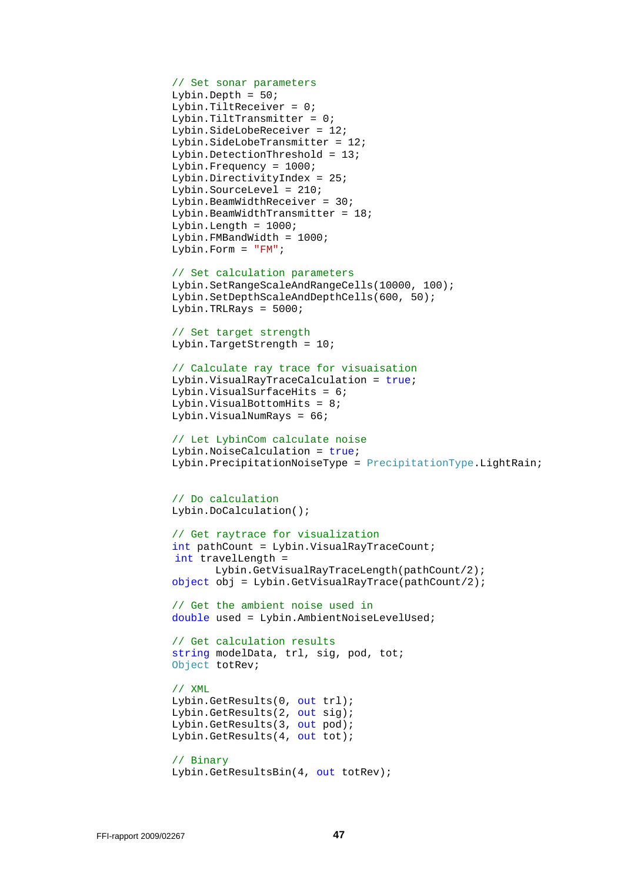```
 // Set sonar parameters
```

```
 Lybin.Depth = 50; 
 Lybin.TiltReceiver = 0; 
 Lybin.TiltTransmitter = 0; 
 Lybin.SideLobeReceiver = 12; 
 Lybin.SideLobeTransmitter = 12; 
 Lybin.DetectionThreshold = 13; 
 Lybin.Frequency = 1000; 
 Lybin.DirectivityIndex = 25; 
 Lybin.SourceLevel = 210; 
 Lybin.BeamWidthReceiver = 30; 
Lybin.BeamWidthTransmitter = 18;
Lybin.Length = 1000;
 Lybin.FMBandWidth = 1000; 
 Lybin.Form = "FM";
```

```
 // Set calculation parameters 
 Lybin.SetRangeScaleAndRangeCells(10000, 100); 
 Lybin.SetDepthScaleAndDepthCells(600, 50); 
 Lybin.TRLRays = 5000;
```
 // Set target strength Lybin.TargetStrength = 10;

```
 // Calculate ray trace for visuaisation 
 Lybin.VisualRayTraceCalculation = true; 
 Lybin.VisualSurfaceHits = 6; 
 Lybin.VisualBottomHits = 8; 
 Lybin.VisualNumRays = 66;
```

```
 // Let LybinCom calculate noise 
 Lybin.NoiseCalculation = true; 
 Lybin.PrecipitationNoiseType = PrecipitationType.LightRain;
```

```
 // Do calculation 
 Lybin.DoCalculation();
```

```
 // Get raytrace for visualization 
 int pathCount = Lybin.VisualRayTraceCount; 
 int travelLength = 
       Lybin.GetVisualRayTraceLength(pathCount/2); 
object obj = Lybin.GetVisualRayTrace(pathCount/2);
```

```
 // Get the ambient noise used in 
 double used = Lybin.AmbientNoiseLevelUsed;
```

```
 // Get calculation results 
 string modelData, trl, sig, pod, tot; 
 Object totRev;
```

```
 // XML 
 Lybin.GetResults(0, out trl); 
 Lybin.GetResults(2, out sig); 
 Lybin.GetResults(3, out pod); 
 Lybin.GetResults(4, out tot);
```

```
 // Binary 
 Lybin.GetResultsBin(4, out totRev);
```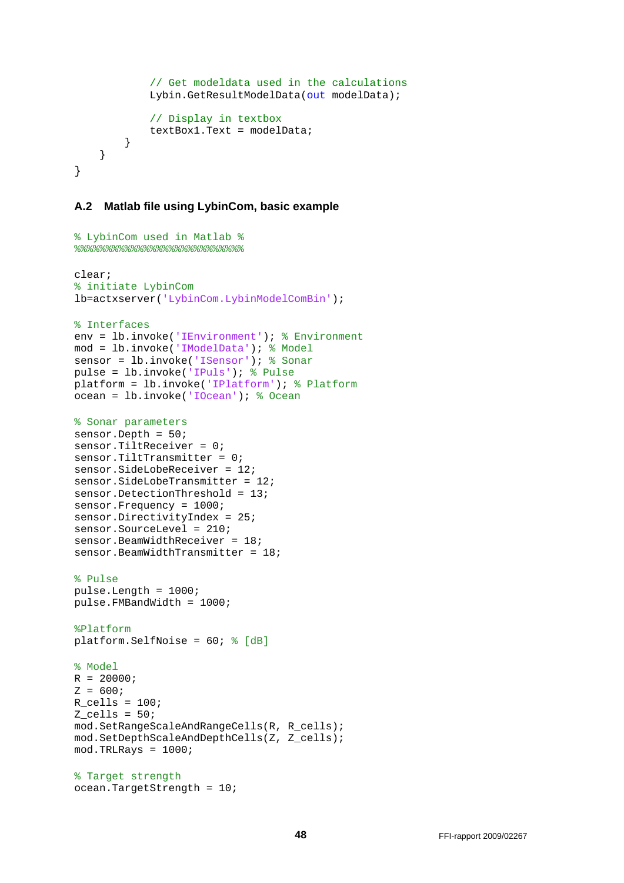```
 // Get modeldata used in the calculations 
            Lybin.GetResultModelData(out modelData);
              // Display in textbox 
             textBox1.Text = modelData; 
         } 
     } 
}
```
#### **A.2 Matlab file using LybinCom, basic example**

```
% LybinCom used in Matlab %
%%%%%%%%%%%%%%%%%%%%%%%%%%%
clear;
% initiate LybinCom
lb=actxserver('LybinCom.LybinModelComBin');
% Interfaces
env = lb.invoke('IEnvironment'); % Environment
mod = lb.invoke('IModelData'); % Model
sensor = lb.invoke('ISensor'); % Sonar
pulse = lb.invoke('IPuls'); % Pulse
platform = lb.invoke('IPlatform'); % Platform
ocean = lb.invoke('IOcean'); % Ocean
% Sonar parameters
sensor.Depth = 50;
sensor.TiltReceiver = 0;
sensor.TiltTransmitter = 0;
sensor.SideLobeReceiver = 12;
sensor.SideLobeTransmitter = 12;
sensor.DetectionThreshold = 13;
sensor.Frequency = 1000;
sensor.DirectivityIndex = 25;
sensor. SourceLevel = 210;
sensor.BeamWidthReceiver = 18; 
sensor.BeamWidthTransmitter = 18;
% Pulse
pulse.Length = 1000; 
pulse.FMBandWidth = 1000;
%Platform
platform.SelfNoise = 60; % [dB]
% Model
R = 20000;Z = 600;R_{\text{cells}} = 100;
Z_{\text{cells}} = 50;
mod.SetRangeScaleAndRangeCells(R, R_cells);
mod.SetDepthScaleAndDepthCells(Z, Z_cells);
mod.TRLRays = 1000;
% Target strength
ocean.TargetStrength = 10;
```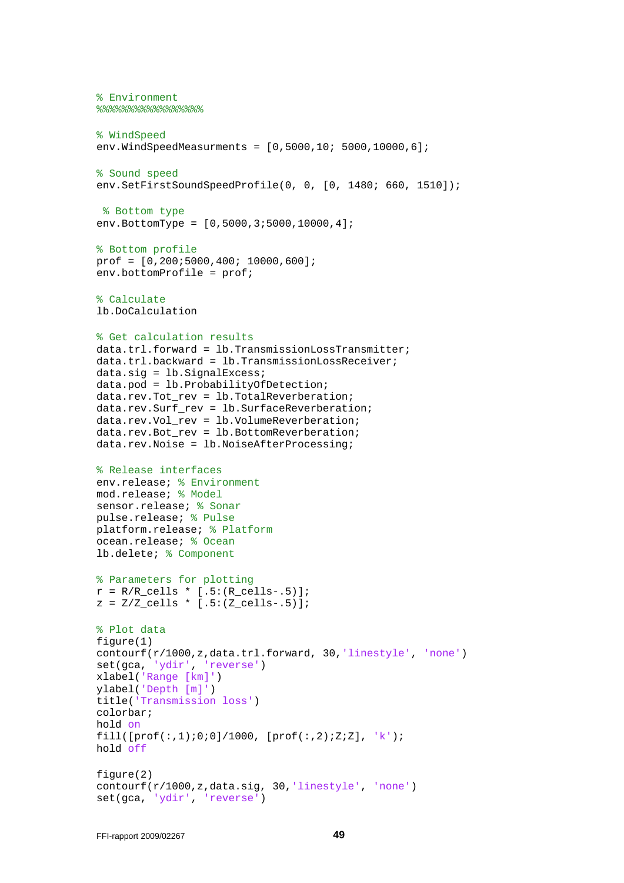```
% Environment
8%%%%%%%%%%%%%%%%%%%%%%%%%%%%%%%%
% WindSpeed
env.WindSpeedMeasurments = [0,5000,10; 5000,10000,6];
% Sound speed
env.SetFirstSoundSpeedProfile(0, 0, [0, 1480; 660, 1510]);
 % Bottom type
env.BottomType = [0,5000,3;5000,10000,4];
% Bottom profile
prof = [0,200;5000,400; 10000,600];
env.bottomProfile = prof;
% Calculate
lb.DoCalculation
% Get calculation results
data.trl.forward = lb.TransmissionLossTransmitter;
data.trl.backward = lb.TransmissionLossReceiver;
data.sig = lb.SignalExcess;
data.pod = lb.ProbabilityOfDetection;
data.rev.Tot rev = lb.TotalReverberation;
data.rev.Surf rev = lb.SurfaceReverberation;
data.rev.Vol rev = lb.VolumeReverberation;
data.rev.Bot rev = lb.BottomReverberation;
data.rev.Noise = lb.NoiseAfterProcessing;
% Release interfaces
env.release; % Environment
mod.release; % Model
sensor.release; % Sonar
pulse.release; % Pulse
platform.release; % Platform
ocean.release; % Ocean
lb.delete; % Component
% Parameters for plotting
r = R/R_{cells} * [.5:(R_{cells-.5})];z = \frac{Z}{Z} cells * [.5:(Z cells-.5)];
% Plot data
figure(1)
contourf(r/1000,z,data.trl.forward, 30,'linestyle', 'none')
set(gca, 'ydir', 'reverse')
xlabel('Range [km]')
ylabel('Depth [m]')
title('Transmission loss')
colorbar;
hold on
fill([prof(:,1);0;0]/1000, [prof(:,2);Z;Z], 'k');
hold off
figure(2)
contourf(r/1000,z,data.sig, 30,'linestyle', 'none')
set(gca, 'ydir', 'reverse')
```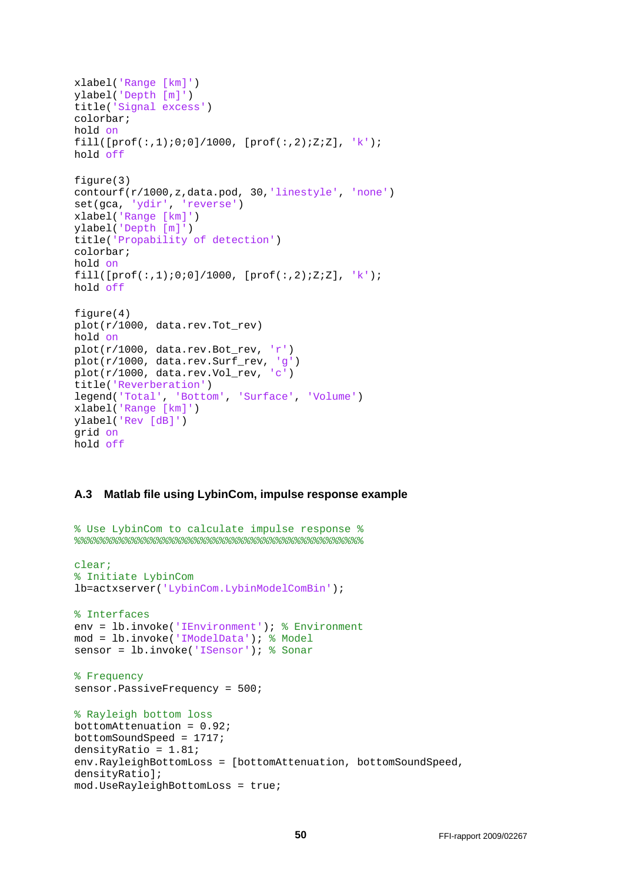```
xlabel('Range [km]')
ylabel('Depth [m]')
title('Signal excess')
colorbar;
hold on
fill([prof(:,1);0;0]/1000, [prof(:,2);Z;Z], 'k');
hold off
figure(3)
contourf(r/1000,z,data.pod, 30,'linestyle', 'none')
set(gca, 'ydir', 'reverse')
xlabel('Range [km]')
ylabel('Depth [m]')
title('Propability of detection')
colorbar;
hold on
fill([prof(:,1);0;0]/1000, [prof(:,2);Z;Z], 'k');
hold off
figure(4)
plot(r/1000, data.rev.Tot_rev)
hold on
plot(r/1000, data.rev.Bot_rev, 'r')
plot(r/1000, data.rev.Surf_rev, 'g')
plot(r/1000, data.rev.Vol_rev, 'c')
title('Reverberation')
legend('Total', 'Bottom', 'Surface', 'Volume')
xlabel('Range [km]')
ylabel('Rev [dB]') 
grid on
hold off
```
#### **A.3 Matlab file using LybinCom, impulse response example**

```
% Use LybinCom to calculate impulse response %
%%%%%%%%%%%%%%%%%%%%%%%%%%%%%%%%%%%%%%%%%%%%%%
clear;
% Initiate LybinCom
lb=actxserver('LybinCom.LybinModelComBin');
% Interfaces
env = lb.invoke('IEnvironment'); % Environment
mod = lb.invoke('IModelData'); % Model
sensor = lb.invoke('ISensor'); % Sonar
% Frequency
sensor.PassiveFrequency = 500;
% Rayleigh bottom loss
bottomAttenuation = 0.92;
bottomSoundSpeed = 1717;
densityRatio = 1.81;
env.RayleighBottomLoss = [bottomAttenuation, bottomSoundSpeed, 
densityRatio];
mod.UseRayleighBottomLoss = true;
```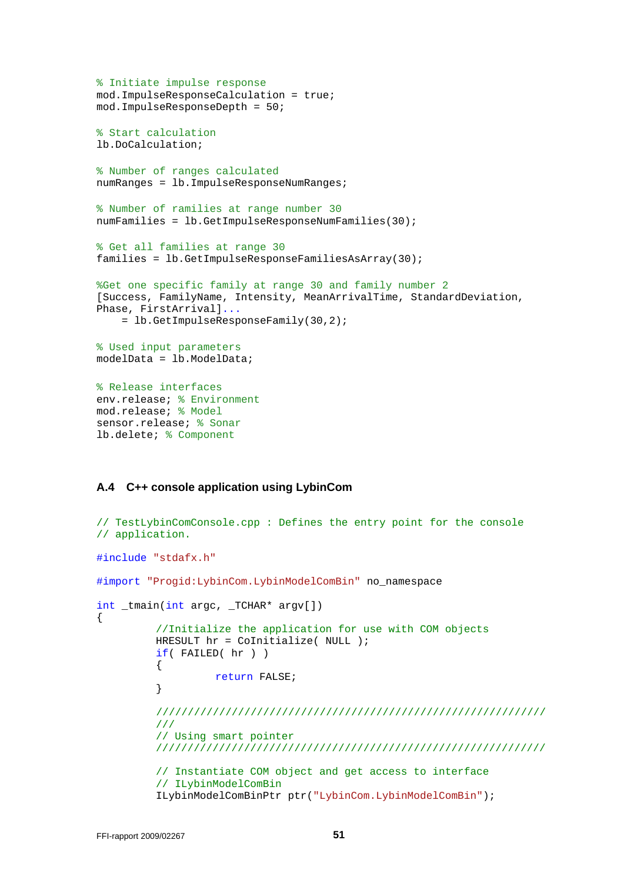```
% Initiate impulse response
mod.ImpulseResponseCalculation = true;
mod.ImpulseResponseDepth = 50;
% Start calculation
lb.DoCalculation;
% Number of ranges calculated
numRanges = lb.ImpulseResponseNumRanges;
% Number of ramilies at range number 30
numFamilies = lb.GetImpulseResponseNumFamilies(30);
% Get all families at range 30
families = lb.GetImpulseResponseFamiliesAsArray(30);
%Get one specific family at range 30 and family number 2
[Success, FamilyName, Intensity, MeanArrivalTime, StandardDeviation, 
Phase, FirstArrival]...
     = lb.GetImpulseResponseFamily(30,2);
% Used input parameters
modelData = lb.ModelData;
% Release interfaces
env.release; % Environment
mod.release; % Model
sensor.release; % Sonar
lb.delete; % Component
```
#### **A.4 C++ console application using LybinCom**

```
// TestLybinComConsole.cpp : Defines the entry point for the console 
// application. 
#include "stdafx.h" 
#import "Progid:LybinCom.LybinModelComBin" no_namespace 
int _tmain(int argc, _TCHAR* argv[]) 
{ 
         //Initialize the application for use with COM objects 
          HRESULT hr = CoInitialize( NULL ); 
         if( FAILED( hr ) ) 
          { 
         return FALSE;
 } 
         //////////////////////////////////////////////////////////////
         /// 
         // Using smart pointer 
         ////////////////////////////////////////////////////////////// 
         // Instantiate COM object and get access to interface 
         // ILybinModelComBin 
          ILybinModelComBinPtr ptr("LybinCom.LybinModelComBin");
```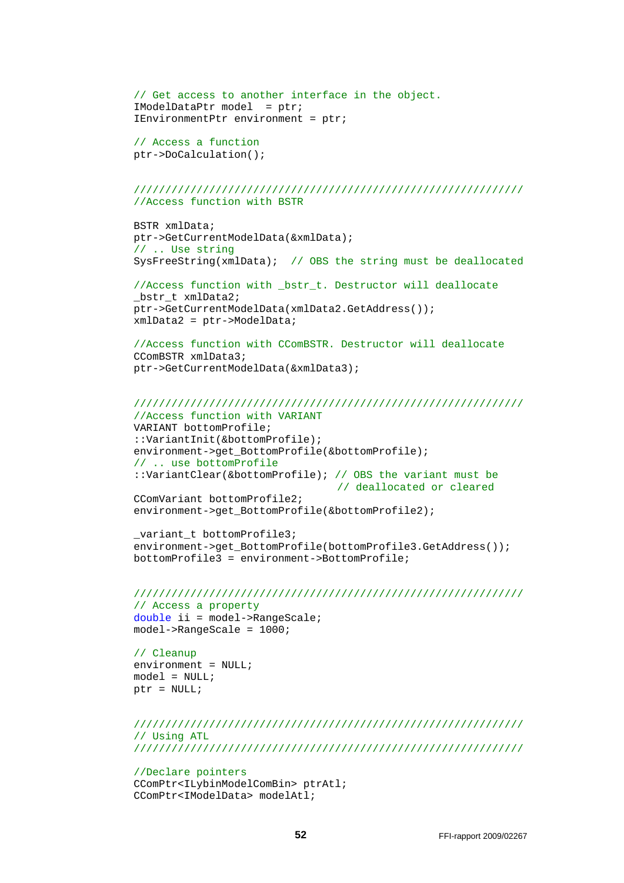```
// Get access to another interface in the object. 
 IModelDataPtr model = ptr; 
 IEnvironmentPtr environment = ptr;
```
// Access a function ptr->DoCalculation();

#### ////////////////////////////////////////////////////////////// //Access function with BSTR

 BSTR xmlData; ptr->GetCurrentModelData(&xmlData); // .. Use string SysFreeString(xmlData); // OBS the string must be deallocated

```
//Access function with _bstr_t. Destructor will deallocate 
 _bstr_t xmlData2; 
 ptr->GetCurrentModelData(xmlData2.GetAddress()); 
 xmlData2 = ptr->ModelData;
```
//Access function with CComBSTR. Destructor will deallocate CComBSTR xmlData3; ptr->GetCurrentModelData(&xmlData3);

#### ////////////////////////////////////////////////////////////// //Access function with VARIANT

 VARIANT bottomProfile; ::VariantInit(&bottomProfile); environment->get\_BottomProfile(&bottomProfile); // .. use bottomProfile ::VariantClear(&bottomProfile); // OBS the variant must be // deallocated or cleared CComVariant bottomProfile2; environment->get\_BottomProfile(&bottomProfile2);

```
 _variant_t bottomProfile3; 
environment->get_BottomProfile(bottomProfile3.GetAddress());
 bottomProfile3 = environment->BottomProfile;
```
#### //////////////////////////////////////////////////////////////

// Access a property double ii = model->RangeScale; model->RangeScale = 1000;

// Cleanup  $environment = NULL;$  $model = NULL;$ ptr = NULL;

```
////////////////////////////////////////////////////////////// 
// Using ATL 
//////////////////////////////////////////////////////////////
```
#### //Declare pointers

 CComPtr<ILybinModelComBin> ptrAtl; CComPtr<IModelData> modelAtl;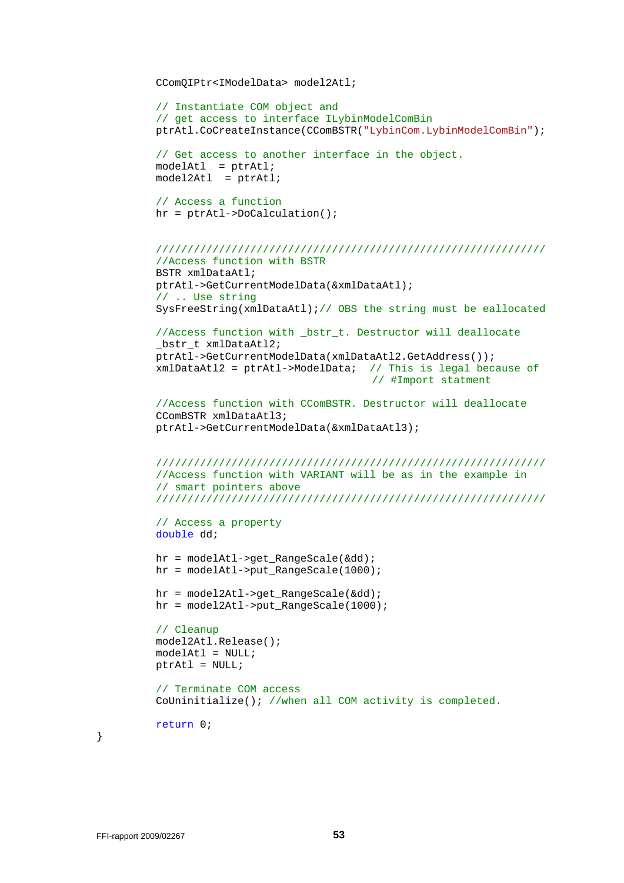```
 CComQIPtr<IModelData> model2Atl; 
// Instantiate COM object and 
// get access to interface ILybinModelComBin 
 ptrAtl.CoCreateInstance(CComBSTR("LybinCom.LybinModelComBin"); 
// Get access to another interface in the object. 
 modelAtl = ptrAtl; 
 model2Atl = ptrAtl; 
// Access a function 
 hr = ptrAtl->DoCalculation(); 
////////////////////////////////////////////////////////////// 
//Access function with BSTR 
 BSTR xmlDataAtl; 
 ptrAtl->GetCurrentModelData(&xmlDataAtl); 
// .. Use string 
 SysFreeString(xmlDataAtl);// OBS the string must be eallocated 
//Access function with _bstr_t. Destructor will deallocate 
bstr_t_xmlDataAtl2;
 ptrAtl->GetCurrentModelData(xmlDataAtl2.GetAddress()); 
 xmlDataAtl2 = ptrAtl->ModelData; // This is legal because of 
                                     // #Import statment 
//Access function with CComBSTR. Destructor will deallocate 
 CComBSTR xmlDataAtl3; 
 ptrAtl->GetCurrentModelData(&xmlDataAtl3); 
////////////////////////////////////////////////////////////// 
//Access function with VARIANT will be as in the example in 
// smart pointers above 
////////////////////////////////////////////////////////////// 
// Access a property 
double dd; 
 hr = modelAtl->get_RangeScale(&dd); 
hr = modelAt1 - zput RangeScale(1000); hr = model2Atl->get_RangeScale(&dd); 
 hr = model2Atl->put_RangeScale(1000); 
// Cleanup 
 model2Atl.Release(); 
modelAL1 = NULL;ptrAL = NULL;// Terminate COM access 
 CoUninitialize(); //when all COM activity is completed. 
return 0;
```
}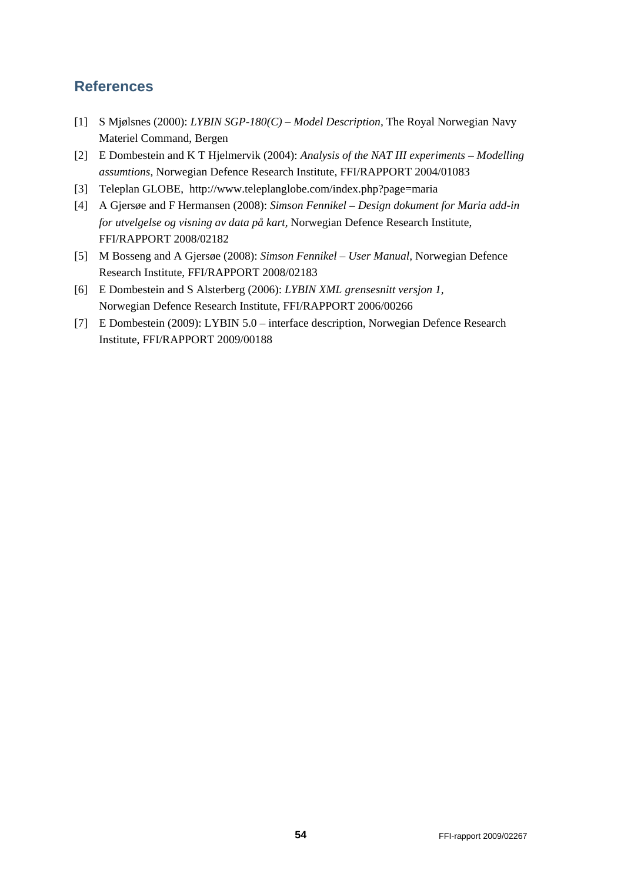## **References**

- [1] S Mjølsnes (2000): *LYBIN SGP-180(C) Model Description,* The Royal Norwegian Navy Materiel Command, Bergen
- [2] E Dombestein and K T Hjelmervik (2004): *Analysis of the NAT III experiments Modelling assumtions,* Norwegian Defence Research Institute, FFI/RAPPORT 2004/01083
- [3] Teleplan GLOBE, http://www.teleplanglobe.com/index.php?page=maria
- [4] A Gjersøe and F Hermansen (2008): *Simson Fennikel Design dokument for Maria add-in for utvelgelse og visning av data på kart,* Norwegian Defence Research Institute, FFI/RAPPORT 2008/02182
- [5] M Bosseng and A Gjersøe (2008): *Simson Fennikel User Manual,* Norwegian Defence Research Institute, FFI/RAPPORT 2008/02183
- [6] E Dombestein and S Alsterberg (2006): *LYBIN XML grensesnitt versjon 1,* Norwegian Defence Research Institute, FFI/RAPPORT 2006/00266
- [7] E Dombestein (2009): LYBIN 5.0 interface description, Norwegian Defence Research Institute, FFI/RAPPORT 2009/00188